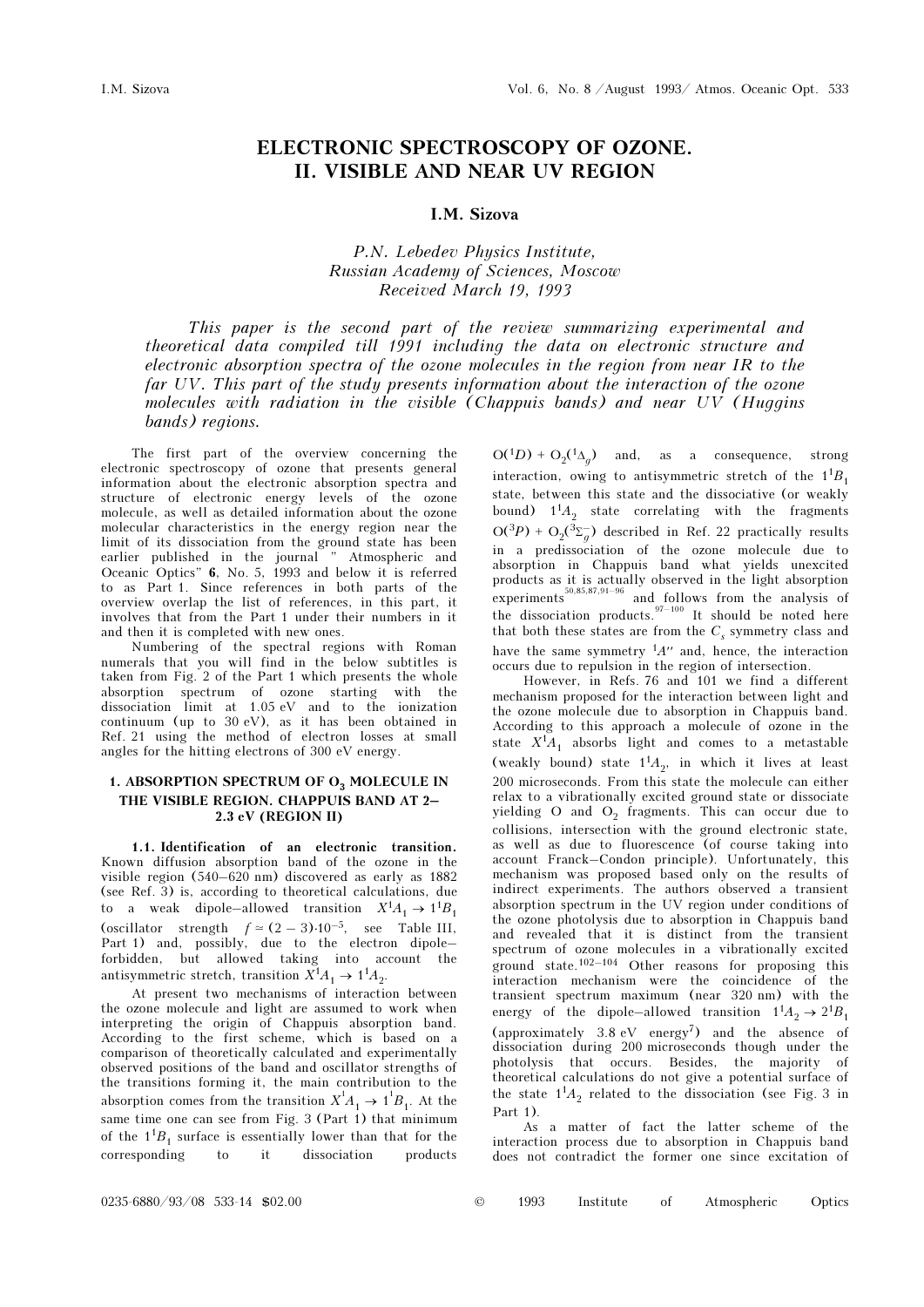# ELECTRONIC SPECTROSCOPY OF OZONE. II. VISIBLE AND NEAR UV REGION

### I.M. Sizova

# P.N. Lebedev Physics Institute, Russian Academy of Sciences, Moscow Received March 19, 1993

This paper is the second part of the review summarizing experimental and theoretical data compiled till 1991 including the data on electronic structure and electronic absorption spectra of the ozone molecules in the region from near IR to the far UV. This part of the study presents information about the interaction of the ozone molecules with radiation in the visible (Chappuis bands) and near UV (Huggins bands) regions.

The first part of the overview concerning the electronic spectroscopy of ozone that presents general information about the electronic absorption spectra and structure of electronic energy levels of the ozone molecule, as well as detailed information about the ozone molecular characteristics in the energy region near the limit of its dissociation from the ground state has been earlier published in the journal " Atmospheric and Oceanic Optics" 6, No. 5, 1993 and below it is referred to as Part 1. Since references in both parts of the overview overlap the list of references, in this part, it involves that from the Part 1 under their numbers in it and then it is completed with new ones.

Numbering of the spectral regions with Roman numerals that you will find in the below subtitles is taken from Fig. 2 of the Part 1 which presents the whole absorption spectrum of ozone starting with the dissociation limit at 1.05 eV and to the ionization continuum (up to 30 eV), as it has been obtained in Ref. 21 using the method of electron losses at small angles for the hitting electrons of 300 eV energy.

#### 1. ABSORPTION SPECTRUM OF  $O_3$  MOLECULE IN THE VISIBLE REGION. CHAPPUIS BAND AT 2– 2.3 eV (REGION II)

1.1. Identification of an electronic transition. Known diffusion absorption band of the ozone in the visible region  $(540-620 \text{ nm})$  discovered as early as 1882 (see Ref. 3) is, according to theoretical calculations, due to a weak dipole–allowed transition  $X^1A_1 \rightarrow 1^1B_1$ to a weak dipole-allowed transition  $X^1A_1 \rightarrow 1^1B_1$ <br>(oscillator strength  $f \approx (2-3) \cdot 10^{-5}$ , see Table III,<br>Part 1) and, possibly, due to the electron dipoleforbidden, but allowed taking into account the antisymmetric stretch, transition  $X^1A_1 \rightarrow 1^1A_2$ .

At present two mechanisms of interaction between the ozone molecule and light are assumed to work when interpreting the origin of Chappuis absorption band. According to the first scheme, which is based on a comparison of theoretically calculated and experimentally observed positions of the band and oscillator strengths of the transitions forming it, the main contribution to the absorption comes from the transition  $X^1 A_1 \rightarrow 1^1 B_1$ . At the same time one can see from Fig. 3 (Part 1) that minimum of the  $1^{1}B_{1}$  surface is essentially lower than that for the corresponding to it dissociation products corresponding

 $O(^1D) + O_2(^1\Delta_g)$  and, as a consequence, strong interaction, owing to antisymmetric stretch of the  $1^{1}B_{1}$ state, between this state and the dissociative (or weakly bound)  $1^1A_2$  state correlating with the fragments  $O(3P) + O_2(3\Sigma_g)$  described in Ref. 22 practically results<br>in a practicalistical of the exame probabile due to in a predissociation of the ozone molecule due to absorption in Chappuis band what yields unexcited products as it is actually observed in the light absorption experiments  $\frac{80,85,87,91-96}{2}$  and follows from the analysis of the dissociation products.  $97-100$  It should be noted here that both these states are from the  $C_{\rm s}$  symmetry class and have the same symmetry  ${}^{1}A''$  and, hence, the interaction occurs due to repulsion in the region of intersection.

However, in Refs. 76 and 101 we find a different mechanism proposed for the interaction between light and the ozone molecule due to absorption in Chappuis band. According to this approach a molecule of ozone in the state  $X^1A_1$  absorbs light and comes to a metastable (weakly bound) state  $1^1A_2$ , in which it lives at least 200 microseconds. From this state the molecule can either relax to a vibrationally excited ground state or dissociate yielding O and  $O_2$  fragments. This can occur due to collisions intersection with the ground electronic state. collisions, intersection with the ground electronic state, as well as due to fluorescence (of course taking into account Franck–Condon principle). Unfortunately, this mechanism was proposed based only on the results of indirect experiments. The authors observed a transient absorption spectrum in the UV region under conditions of the ozone photolysis due to absorption in Chappuis band and revealed that it is distinct from the transient spectrum of ozone molecules in a vibrationally excited ground state.<sup>102–104</sup> Other reasons for proposing this interaction mechanism were the coincidence of the transient spectrum maximum (near 320 nm) with the energy of the dipole–allowed transition  $1^1A_2 \rightarrow 2^1B_1$ (approximately 3.8 eV energy<sup>7</sup>) and the absence of dissociation during 200 microseconds though under the photolysis that occurs. Besides, the majority of theoretical calculations do not give a potential surface of the state  $1<sup>1</sup>A<sub>2</sub>$  related to the dissociation (see Fig. 3 in Part 1).

As a matter of fact the latter scheme of the interaction process due to absorption in Chappuis band does not contradict the former one since excitation of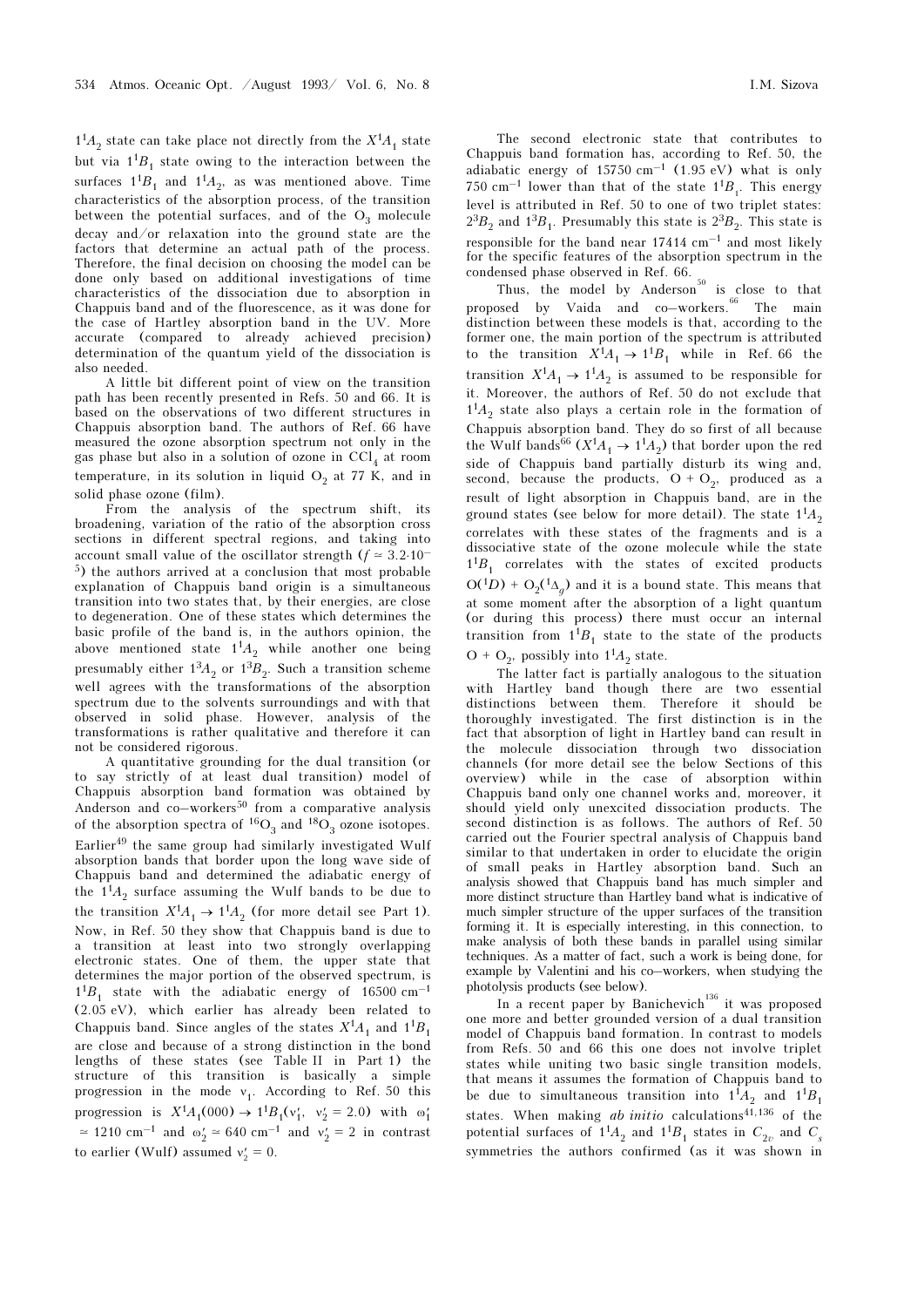$1<sup>1</sup>A<sub>2</sub>$  state can take place not directly from the  $X<sup>1</sup>A<sub>1</sub>$  state but via  $1^{1}B_{1}$  state owing to the interaction between the surfaces  $1^1B_1$  and  $1^1A_2$ , as was mentioned above. Time characteristics of the absorption process, of the transition between the potential surfaces, and of the  $O_3$  molecule decay and/or relaxation into the ground state are the factors that determine an actual path of the process. Therefore, the final decision on choosing the model can be done only based on additional investigations of time characteristics of the dissociation due to absorption in Chappuis band and of the fluorescence, as it was done for the case of Hartley absorption band in the UV. More accurate (compared to already achieved precision) determination of the quantum yield of the dissociation is also needed.

A little bit different point of view on the transition path has been recently presented in Refs. 50 and 66. It is based on the observations of two different structures in Chappuis absorption band. The authors of Ref. 66 have measured the ozone absorption spectrum not only in the gas phase but also in a solution of ozone in  $\text{CCl}_4$  at room<br>temperature in its colution in liquid  $\text{C}$  at 77 K, and in temperature, in its solution in liquid  $O_2$  at 77 K, and in solid phase again  $(film)$ solid phase ozone (film).

From the analysis of the spectrum shift, its broadening, variation of the ratio of the absorption cross sections in different spectral regions, and taking into account small value of the oscillator strength ( $f \approx 3.2 \cdot 10^{-7}$ ) <sup>5</sup>) the authors arrived at a conclusion that most probable explanation of Chappuis band origin is a simultaneous transition into two states that, by their energies, are close to degeneration. One of these states which determines the basic profile of the band is, in the authors opinion, the above mentioned state  $1^1A_2$  while another one being presumably either  $1<sup>3</sup>A<sub>2</sub>$  or  $1<sup>3</sup>B<sub>2</sub>$ . Such a transition scheme well agrees with the transformations of the absorption spectrum due to the solvents surroundings and with that observed in solid phase. However, analysis of the transformations is rather qualitative and therefore it can not be considered rigorous.

A quantitative grounding for the dual transition (or to say strictly of at least dual transition) model of Chappuis absorption band formation was obtained by Anderson and  $co$ –workers<sup>50</sup> from a comparative analysis of the absorption spectra of  ${}^{16}O_3$  and  ${}^{18}O_3$  ozone isotopes. Earlier49 the same group had similarly investigated Wulf absorption bands that border upon the long wave side of Chappuis band and determined the adiabatic energy of the  $1<sup>1</sup>A<sub>2</sub>$  surface assuming the Wulf bands to be due to the transition  $X^1A_1 \rightarrow 1^1A_2$  (for more detail see Part 1). Now, in Ref. 50 they show that Chappuis band is due to a transition at least into two strongly overlapping electronic states. One of them, the upper state that determines the major portion of the observed spectrum, is  $1^{1}B_{1}$  state with the adiabatic energy of 16500 cm<sup>-1</sup> (2.05 eV), which earlier has already been related to Chappuis band. Since angles of the states  $X^1A_1$  and  $1^1B_1$ are close and because of a strong distinction in the bond lengths of these states (see Table II in Part 1) the structure of this transition is basically a simple progression in the mode  $v_1$ . According to Ref. 50 this progression is  $X^1A_1(000) \to 1^1B_1(v'_1, v'_2 = 2.0)$  with  $\omega'_1$  $\simeq$  1210 cm<sup>-1</sup> and  $\omega'_2 \simeq 640$  cm<sup>-1</sup> and  $v'_2 = 2$  in contrast to earlier (Wulf) assumed  $v'_2 = 0$ .

The second electronic state that contributes to Chappuis band formation has, according to Ref. 50, the adiabatic energy of  $15750 \text{ cm}^{-1}$  (1.95 eV) what is only 750 cm<sup>-1</sup> lower than that of the state  $1^1B_1$ . This energy level is attributed in Ref. 50 to one of two triplet states:  $2^{3}B_{2}$  and  $1^{3}B_{1}$ . Presumably this state is  $2^{3}B_{2}$ . This state is responsible for the band near  $17414 \text{ cm}^{-1}$  and most likely for the specific features of the absorption spectrum in the condensed phase observed in Ref. 66.

Thus, the model by Anderson<sup>50</sup> is close to that proposed by Vaida and co–workers.<sup>66</sup> The main distinction between these models is that, according to the former one, the main portion of the spectrum is attributed to the transition  $X^1A_1 \rightarrow 1^1B_1$  while in Ref. 66 the transition  $X^1A_1 \rightarrow 1^1A_2$  is assumed to be responsible for it. Moreover, the authors of Ref. 50 do not exclude that  $1<sup>1</sup>A<sub>2</sub>$  state also plays a certain role in the formation of Chappuis absorption band. They do so first of all because the Wulf bands<sup>66</sup> ( $X^1A_1 \rightarrow 1^1A_2$ ) that border upon the red side of Chappuis band partially disturb its wing and, second, because the products,  $O + O_2$ , produced as a a second, of light absorption in Chapmin hard, are in the result of light absorption in Chappuis band, are in the ground states (see below for more detail). The state  $1^{1}A_{2}$ correlates with these states of the fragments and is a dissociative state of the ozone molecule while the state  $1<sup>1</sup>B<sub>1</sub>$  correlates with the states of excited products  $O(1D) + O_2(1\Delta_g)$  and it is a bound state. This means that<br>at some moment ofter the electrical of a light system at some moment after the absorption of a light quantum (or during this process) there must occur an internal transition from  $1^1B_1$  state to the state of the products  $O + O_2$ , possibly into  $1^1A_2$  state.<br>The latter feet is partially as

The latter fact is partially analogous to the situation with Hartley band though there are two essential distinctions between them. Therefore it should be thoroughly investigated. The first distinction is in the fact that absorption of light in Hartley band can result in the molecule dissociation through two dissociation channels (for more detail see the below Sections of this overview) while in the case of absorption within Chappuis band only one channel works and, moreover, it should yield only unexcited dissociation products. The second distinction is as follows. The authors of Ref. 50 carried out the Fourier spectral analysis of Chappuis band similar to that undertaken in order to elucidate the origin of small peaks in Hartley absorption band. Such an analysis showed that Chappuis band has much simpler and more distinct structure than Hartley band what is indicative of much simpler structure of the upper surfaces of the transition forming it. It is especially interesting, in this connection, to make analysis of both these bands in parallel using similar techniques. As a matter of fact, such a work is being done, for example by Valentini and his co–workers, when studying the photolysis products (see below).

In a recent paper by Banichevich<sup>136</sup> it was proposed one more and better grounded version of a dual transition model of Chappuis band formation. In contrast to models from Refs. 50 and 66 this one does not involve triplet states while uniting two basic single transition models, that means it assumes the formation of Chappuis band to be due to simultaneous transition into  $1^1A_2$  and  $1^1B_1$ states. When making *ab initio* calculations $41,136$  of the potential surfaces of  $1^1A_2$  and  $1^1B_1$  states in  $C_{2v}$  and  $C_s$ symmetries the authors confirmed (as it was shown in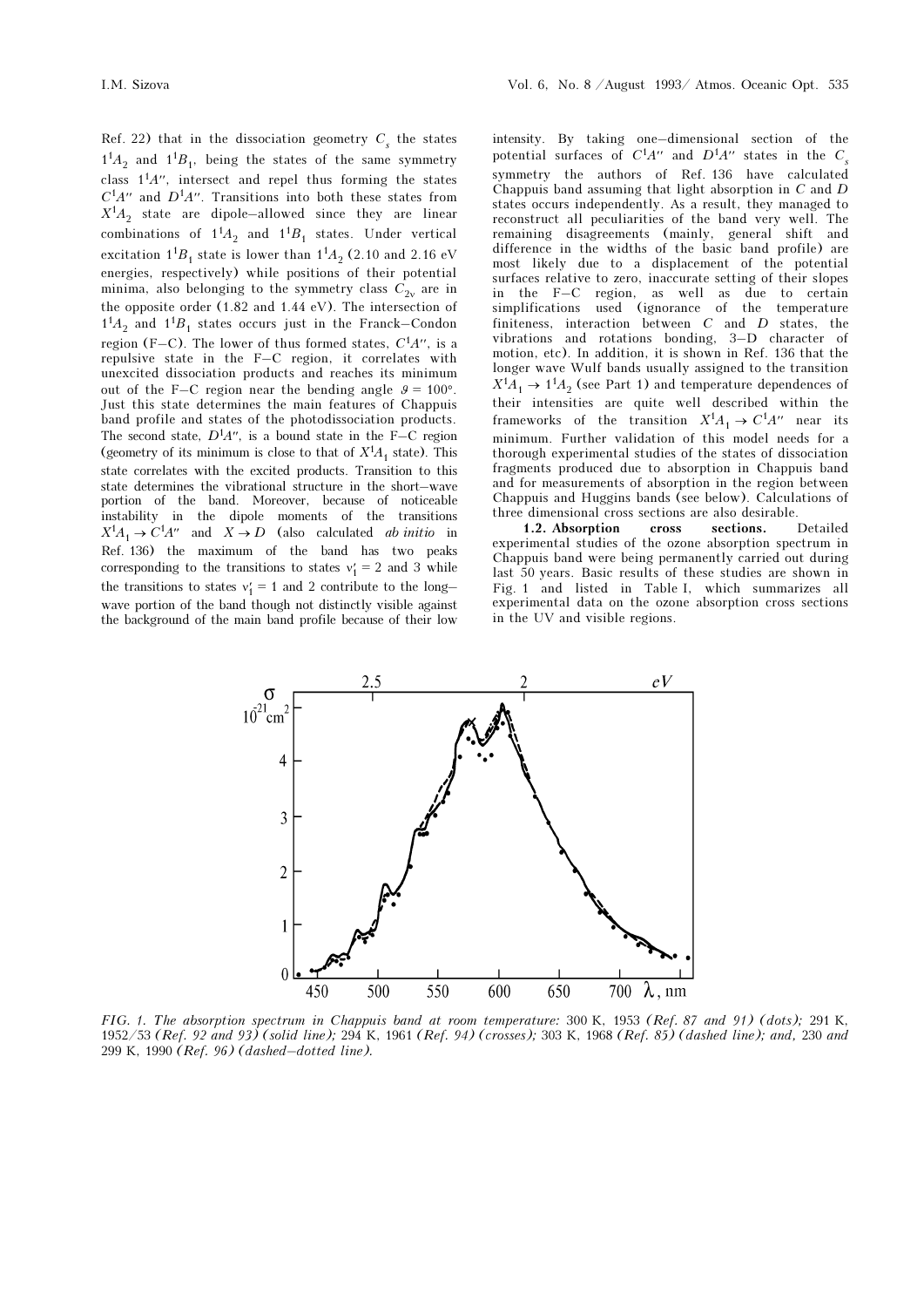Ref. 22) that in the dissociation geometry  $C<sub>s</sub>$  the states  $1^{1}A_2$  and  $1^{1}B_1$ , being the states of the same symmetry class  $1<sup>1</sup>A''$ , intersect and repel thus forming the states  $C<sup>1</sup>A''$  and  $D<sup>1</sup>A''$ . Transitions into both these states from  $X^1A_2$  state are dipole–allowed since they are linear combinations of  $1^1A_2$  and  $1^1B_1$  states. Under vertical excitation  $1^1B_1$  state is lower than  $1^1A_2$  (2.10 and 2.16 eV energies, respectively) while positions of their potential minima, also belonging to the symmetry class  $C_{2v}$  are in<br>the appealte area (1.82 and 1.44 eV). The interception of the opposite order (1.82 and 1.44 eV). The intersection of  $1<sup>1</sup>A<sub>2</sub>$  and  $1<sup>1</sup>B<sub>1</sub>$  states occurs just in the Franck–Condon region (F–C). The lower of thus formed states,  $C<sup>1</sup>A''$ , is a repulsive state in the F–C region, it correlates with unexcited dissociation products and reaches its minimum out of the F–C region near the bending angle  $\theta = 100^{\circ}$ . Just this state determines the main features of Chappuis band profile and states of the photodissociation products. The second state,  $D^1A''$ , is a bound state in the F–C region (geometry of its minimum is close to that of  $X^1A_1$  state). This state correlates with the excited products. Transition to this state determines the vibrational structure in the short–wave portion of the band. Moreover, because of noticeable instability in the dipole moments of the transitions  $X^1A_1 \rightarrow C^1A''$  and  $X \rightarrow D$  (also calculated *ab initio* in Ref. 136) the maximum of the band has two peaks corresponding to the transitions to states  $v'_1 = 2$  and 3 while the transitions to states  $v'_1 = 1$  and 2 contribute to the long–<br>wave parties of the hard though not distinctly visible expired wave portion of the band though not distinctly visible against the background of the main band profile because of their low

intensity. By taking one–dimensional section of the potential surfaces of  $C^1A''$  and  $D^1A''$  states in the  $C_s$ symmetry the authors of Ref. 136 have calculated Chappuis band assuming that light absorption in C and D states occurs independently. As a result, they managed to reconstruct all peculiarities of the band very well. The remaining disagreements (mainly, general shift and difference in the widths of the basic band profile) are most likely due to a displacement of the potential surfaces relative to zero, inaccurate setting of their slopes in the F–C region, as well as due to certain simplifications used (ignorance of the temperature finiteness, interaction between C and D states, the vibrations and rotations bonding, 3–D character of motion, etc). In addition, it is shown in Ref. 136 that the longer wave Wulf bands usually assigned to the transition  $X^1A_1 \rightarrow 1^1A_2$  (see Part 1) and temperature dependences of their intensities are quite well described within the frameworks of the transition  $X^1A_1 \rightarrow C^1A''$  near its minimum. Further validation of this model needs for a thorough experimental studies of the states of dissociation fragments produced due to absorption in Chappuis band and for measurements of absorption in the region between Chappuis and Huggins bands (see below). Calculations of three dimensional cross sections are also desirable.

1.2. Absorption cross sections. Detailed experimental studies of the ozone absorption spectrum in Chappuis band were being permanently carried out during last 50 years. Basic results of these studies are shown in Fig. 1 and listed in Table I, which summarizes all experimental data on the ozone absorption cross sections in the UV and visible regions.



FIG. 1. The absorption spectrum in Chappuis band at room temperature: 300 K, 1953 (Ref. 87 and 91) (dots); 291 K, 1952/53 (Ref. 92 and 93) (solid line); 294 K, 1961 (Ref. 94) (crosses); 303 K, 1968 (Ref. 85) (dashed line); and, 230 and 299 K, 1990 (Ref. 96) (dashed–dotted line).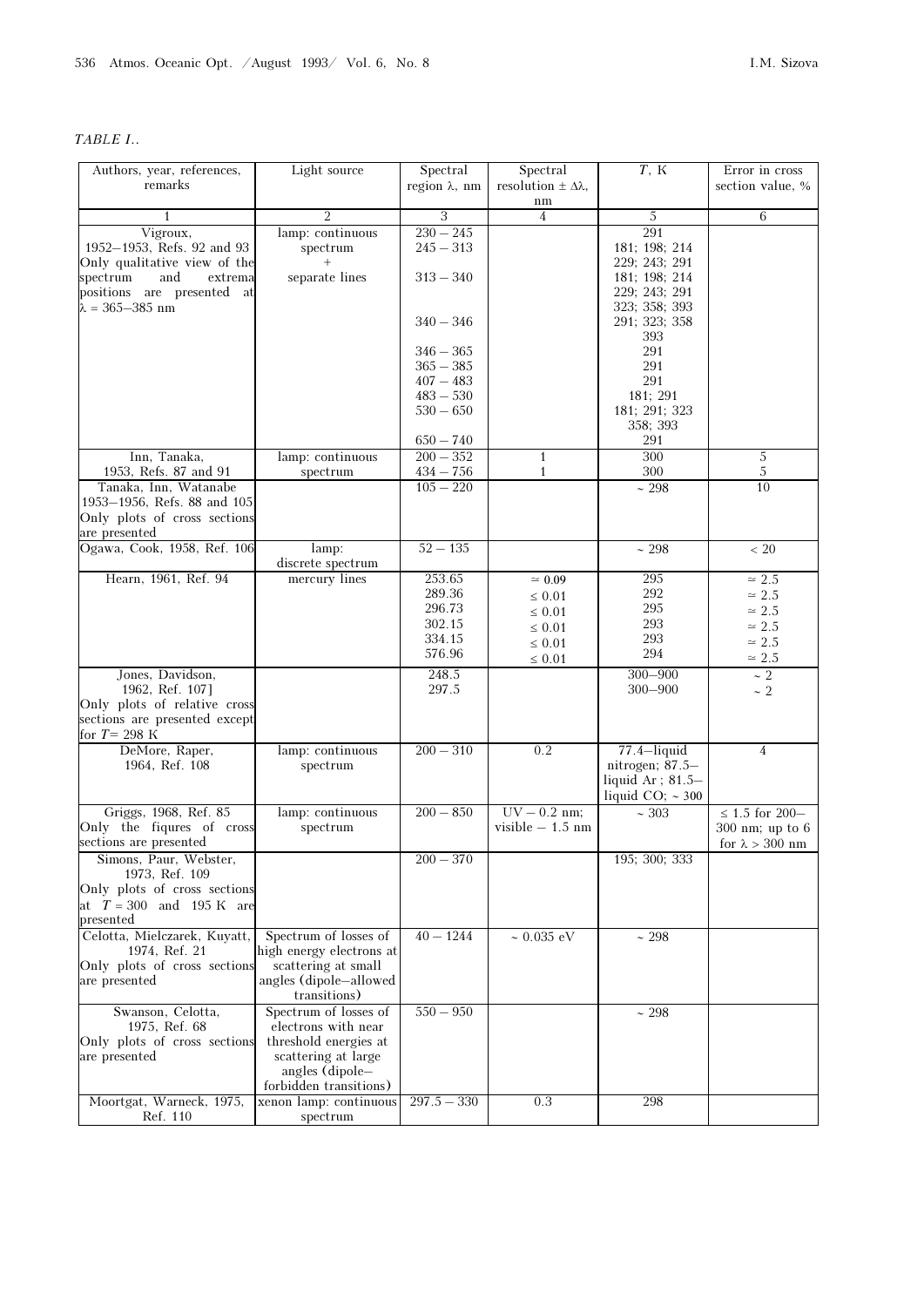## TABLE I..

| Authors, year, references,                                                                                                                                     | Light source                                                                                                                              | Spectral                                                                                                                            | Spectral                                                                                 | $T$ , K                                                                                                                                                                        | Error in cross                                                                               |
|----------------------------------------------------------------------------------------------------------------------------------------------------------------|-------------------------------------------------------------------------------------------------------------------------------------------|-------------------------------------------------------------------------------------------------------------------------------------|------------------------------------------------------------------------------------------|--------------------------------------------------------------------------------------------------------------------------------------------------------------------------------|----------------------------------------------------------------------------------------------|
| remarks                                                                                                                                                        |                                                                                                                                           | region $\lambda$ , nm                                                                                                               | resolution $\pm \Delta \lambda$ ,<br>nm                                                  |                                                                                                                                                                                | section value, %                                                                             |
| 1                                                                                                                                                              | $\overline{2}$                                                                                                                            | 3                                                                                                                                   | $\overline{4}$                                                                           | 5                                                                                                                                                                              | 6                                                                                            |
| Vigroux,<br>1952-1953, Refs. 92 and 93<br>Only qualitative view of the<br>spectrum<br>and<br>extrema<br>positions are presented at<br>$\lambda = 365 - 385$ nm | lamp: continuous<br>spectrum<br>separate lines                                                                                            | $230 - 245$<br>$245 - 313$<br>$313 - 340$<br>$340 - 346$<br>$346 - 365$<br>$365 - 385$<br>$407 - 483$<br>$483 - 530$<br>$530 - 650$ |                                                                                          | 291<br>181; 198; 214<br>229; 243; 291<br>181; 198; 214<br>229; 243; 291<br>323; 358; 393<br>291; 323; 358<br>393<br>291<br>291<br>291<br>181; 291<br>181; 291; 323<br>358; 393 |                                                                                              |
| Inn, Tanaka,                                                                                                                                                   | lamp: continuous                                                                                                                          | $650 - 740$<br>$200 - 352$                                                                                                          | $\mathbf{1}$                                                                             | 291<br>300                                                                                                                                                                     | $\sqrt{5}$                                                                                   |
| 1953, Refs. 87 and 91                                                                                                                                          | spectrum                                                                                                                                  | $434 - 756$                                                                                                                         | $\mathbf{1}$                                                                             | 300                                                                                                                                                                            | $\sqrt{5}$                                                                                   |
| Tanaka, Inn, Watanabe<br>1953-1956, Refs. 88 and 105<br>Only plots of cross sections<br>are presented                                                          |                                                                                                                                           | $105 - 220$                                                                                                                         |                                                                                          | $\sim 298$                                                                                                                                                                     | 10                                                                                           |
| Ogawa, Cook, 1958, Ref. 106                                                                                                                                    | lamp:<br>discrete spectrum                                                                                                                | $52 - 135$                                                                                                                          |                                                                                          | $\sim 298$                                                                                                                                                                     | ~< 20                                                                                        |
| Hearn, 1961, Ref. 94                                                                                                                                           | mercury lines                                                                                                                             | 253.65<br>289.36<br>296.73<br>302.15<br>334.15<br>576.96                                                                            | $\simeq 0.09$<br>$\leq 0.01$<br>$\leq 0.01$<br>$\leq 0.01$<br>$\leq 0.01$<br>$\leq 0.01$ | 295<br>292<br>295<br>293<br>293<br>294                                                                                                                                         | $\simeq 2.5$<br>$\simeq 2.5$<br>$\simeq 2.5$<br>$\simeq 2.5$<br>$\simeq 2.5$<br>$\simeq 2.5$ |
| Jones, Davidson,<br>1962, Ref. 107]<br>Only plots of relative cross<br>sections are presented except                                                           |                                                                                                                                           | 248.5<br>297.5                                                                                                                      |                                                                                          | $300 - 900$<br>$300 - 900$                                                                                                                                                     | $\sim 2$<br>$\sim$ 2                                                                         |
| for $T = 298$ K                                                                                                                                                |                                                                                                                                           |                                                                                                                                     |                                                                                          |                                                                                                                                                                                |                                                                                              |
| DeMore, Raper,<br>1964, Ref. 108                                                                                                                               | lamp: continuous<br>spectrum                                                                                                              | $200 - 310$                                                                                                                         | 0.2                                                                                      | $77.4$ -liquid<br>nitrogen; 87.5-<br>liquid Ar; 81.5-<br>liquid CO; $\sim$ 300                                                                                                 | $\overline{4}$                                                                               |
| Griggs, 1968, Ref. 85<br>Only the figures of cross<br>sections are presented                                                                                   | lamp: continuous<br>spectrum                                                                                                              | $200 - 850$                                                                                                                         | $UV - 0.2$ nm;<br>visible $-1.5$ nm                                                      | ~103                                                                                                                                                                           | $\leq$ 1.5 for 200–<br>300 nm; up to 6<br>for $\lambda > 300$ nm                             |
| Simons, Paur, Webster,<br>1973, Ref. 109<br>Only plots of cross sections<br>at $T = 300$ and 195 K are<br>presented                                            |                                                                                                                                           | $200 - 370$                                                                                                                         |                                                                                          | 195; 300; 333                                                                                                                                                                  |                                                                                              |
| Celotta, Mielczarek, Kuyatt,<br>1974, Ref. 21<br>Only plots of cross sections<br>are presented                                                                 | Spectrum of losses of<br>high energy electrons at<br>scattering at small<br>angles (dipole-allowed<br>transitions)                        | $40 - 1244$                                                                                                                         | $\sim 0.035 \text{ eV}$                                                                  | ~298                                                                                                                                                                           |                                                                                              |
| Swanson, Celotta,<br>1975, Ref. 68<br>Only plots of cross sections<br>are presented                                                                            | Spectrum of losses of<br>electrons with near<br>threshold energies at<br>scattering at large<br>angles (dipole-<br>forbidden transitions) | $550 - 950$                                                                                                                         |                                                                                          | ~298                                                                                                                                                                           |                                                                                              |
| Moortgat, Warneck, 1975,<br>Ref. 110                                                                                                                           | xenon lamp: continuous<br>spectrum                                                                                                        | $297.5 - 330$                                                                                                                       | 0.3                                                                                      | 298                                                                                                                                                                            |                                                                                              |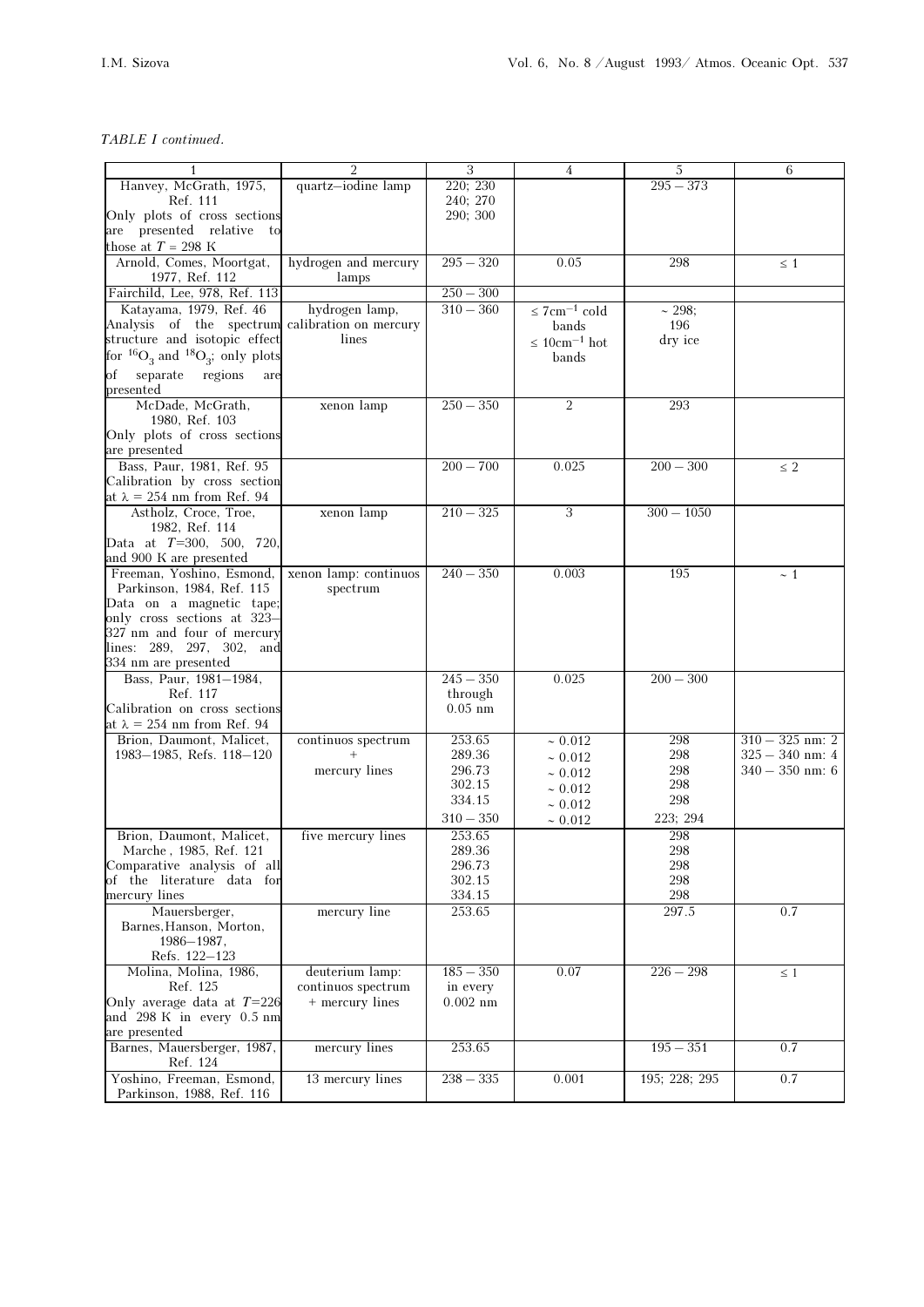### TABLE I continued.

|                                                                                  | $\overline{2}$        | $\sqrt{3}$       | $\overline{4}$                 | 5             | 6                 |
|----------------------------------------------------------------------------------|-----------------------|------------------|--------------------------------|---------------|-------------------|
| Hanvey, McGrath, 1975,                                                           | quartz-iodine lamp    | 220; 230         |                                | $295 - 373$   |                   |
| Ref. 111                                                                         |                       | 240; 270         |                                |               |                   |
| Only plots of cross sections                                                     |                       | 290; 300         |                                |               |                   |
| are presented relative to                                                        |                       |                  |                                |               |                   |
| those at $T = 298$ K                                                             |                       |                  |                                |               |                   |
| Arnold, Comes, Moortgat,                                                         | hydrogen and mercury  | $295 - 320$      | 0.05                           | 298           | $\leq 1$          |
| 1977, Ref. 112                                                                   | lamps                 |                  |                                |               |                   |
| Fairchild, Lee, 978, Ref. 113                                                    |                       | $250 - 300$      |                                |               |                   |
| Katayama, 1979, Ref. 46                                                          | hydrogen lamp,        | $310 - 360$      | $\leq$ 7cm <sup>-1</sup> cold  | ~1298;        |                   |
| Analysis of the spectrum calibration on mercury<br>structure and isotopic effect | lines                 |                  | bands                          | 196           |                   |
| for ${}^{16}O_3$ and ${}^{18}O_3$ ; only plots                                   |                       |                  | $\leq 10$ cm <sup>-1</sup> hot | dry ice       |                   |
|                                                                                  |                       |                  | bands                          |               |                   |
| separate regions<br>оf<br>are<br>presented                                       |                       |                  |                                |               |                   |
| McDade, McGrath,                                                                 |                       | $250 - 350$      | $\overline{2}$                 | 293           |                   |
| 1980, Ref. 103                                                                   | xenon lamp            |                  |                                |               |                   |
| Only plots of cross sections                                                     |                       |                  |                                |               |                   |
| are presented                                                                    |                       |                  |                                |               |                   |
| Bass, Paur, 1981, Ref. 95                                                        |                       | $200 - 700$      | 0.025                          | $200 - 300$   | $\leq 2$          |
| Calibration by cross section                                                     |                       |                  |                                |               |                   |
| at $\lambda = 254$ nm from Ref. 94                                               |                       |                  |                                |               |                   |
| Astholz, Croce, Troe,                                                            | xenon lamp            | $210 - 325$      | $\sqrt{3}$                     | $300 - 1050$  |                   |
| 1982, Ref. 114                                                                   |                       |                  |                                |               |                   |
| Data at $T=300, 500, 720,$                                                       |                       |                  |                                |               |                   |
| and 900 K are presented                                                          |                       |                  |                                |               |                   |
| Freeman, Yoshino, Esmond,                                                        | xenon lamp: continuos | $240 - 350$      | 0.003                          | 195           | ~1                |
| Parkinson, 1984, Ref. 115                                                        | spectrum              |                  |                                |               |                   |
| Data on a magnetic tape;                                                         |                       |                  |                                |               |                   |
| only cross sections at 323–<br>327 nm and four of mercury                        |                       |                  |                                |               |                   |
| lines: 289, 297, 302, and                                                        |                       |                  |                                |               |                   |
| 334 nm are presented                                                             |                       |                  |                                |               |                   |
| Bass, Paur, 1981-1984,                                                           |                       | $245 - 350$      | 0.025                          | $200 - 300$   |                   |
| Ref. 117                                                                         |                       | through          |                                |               |                   |
| Calibration on cross sections                                                    |                       | $0.05$ nm        |                                |               |                   |
| at $\lambda = 254$ nm from Ref. 94                                               |                       |                  |                                |               |                   |
| Brion, Daumont, Malicet,                                                         | continuos spectrum    | 253.65           | ~10.012                        | 298           | $310 - 325$ nm: 2 |
| 1983–1985, Refs. 118–120                                                         |                       | 289.36           | ~10.012                        | 298           | $325 - 340$ nm: 4 |
|                                                                                  | mercury lines         | 296.73           | ~10.012                        | 298           | $340 - 350$ nm: 6 |
|                                                                                  |                       | 302.15           | ~10.012                        | 298           |                   |
|                                                                                  |                       | 334.15           | ~10.012                        | 298           |                   |
|                                                                                  |                       | $310 - 350$      | ~10.012                        | 223; 294      |                   |
| Brion, Daumont, Malicet,                                                         | five mercury lines    | 253.65           |                                | 298           |                   |
| Marche, 1985, Ref. 121                                                           |                       | 289.36           |                                | 298           |                   |
| Comparative analysis of all                                                      |                       | 296.73           |                                | 298           |                   |
| of the literature data for<br>mercury lines                                      |                       | 302.15           |                                | 298           |                   |
| Mauersberger,                                                                    | mercury line          | 334.15<br>253.65 |                                | 298<br>297.5  | 0.7               |
| Barnes, Hanson, Morton,                                                          |                       |                  |                                |               |                   |
| $1986 - 1987,$                                                                   |                       |                  |                                |               |                   |
| Refs. 122-123                                                                    |                       |                  |                                |               |                   |
| Molina, Molina, 1986,                                                            | deuterium lamp:       | $185 - 350$      | 0.07                           | $226 - 298$   | $\leq 1$          |
| Ref. 125                                                                         | continuos spectrum    | in every         |                                |               |                   |
| Only average data at $T=226$                                                     | + mercury lines       | $0.002$ nm       |                                |               |                   |
| and 298 K in every 0.5 nm                                                        |                       |                  |                                |               |                   |
| are presented                                                                    |                       |                  |                                |               |                   |
| Barnes, Mauersberger, 1987,<br>Ref. 124                                          | mercury lines         | 253.65           |                                | $195 - 351$   | 0.7               |
| Yoshino, Freeman, Esmond,                                                        | 13 mercury lines      | $238 - 335$      | 0.001                          | 195; 228; 295 | 0.7               |
| Parkinson, 1988, Ref. 116                                                        |                       |                  |                                |               |                   |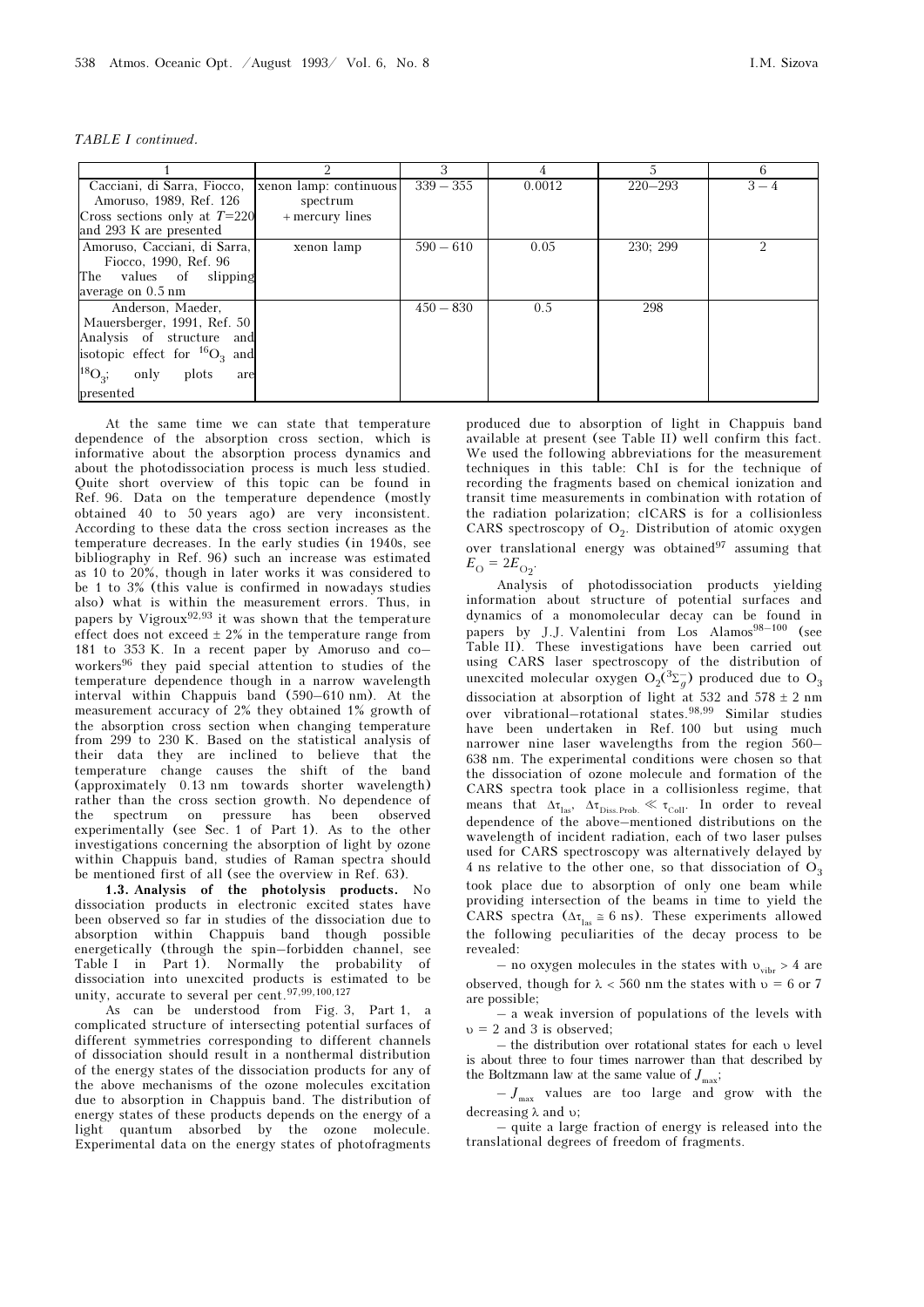| TABLE I continued. |  |
|--------------------|--|
|                    |  |

|                                      |                        | 3           |        |             | 6       |
|--------------------------------------|------------------------|-------------|--------|-------------|---------|
| Cacciani, di Sarra, Fiocco,          | xenon lamp: continuous | $339 - 355$ | 0.0012 | $220 - 293$ | $3 - 4$ |
| Amoruso, 1989, Ref. 126              | spectrum               |             |        |             |         |
| Cross sections only at $T=220$       | + mercury lines        |             |        |             |         |
| and 293 K are presented              |                        |             |        |             |         |
| Amoruso, Cacciani, di Sarra,         | xenon lamp             | $590 - 610$ | 0.05   | 230; 299    |         |
| Fiocco, 1990, Ref. 96                |                        |             |        |             |         |
| The values of slipping               |                        |             |        |             |         |
| average on 0.5 nm                    |                        |             |        |             |         |
| Anderson, Maeder,                    |                        | $450 - 830$ | 0.5    | 298         |         |
| Mauersberger, 1991, Ref. 50          |                        |             |        |             |         |
| Analysis of structure and            |                        |             |        |             |         |
| isotopic effect for ${}^{16}O_3$ and |                        |             |        |             |         |
| $^{18}O_3;$<br>plots<br>only<br>are  |                        |             |        |             |         |
| presented                            |                        |             |        |             |         |

At the same time we can state that temperature dependence of the absorption cross section, which is informative about the absorption process dynamics and about the photodissociation process is much less studied. Quite short overview of this topic can be found in Ref. 96. Data on the temperature dependence (mostly obtained 40 to 50 years ago) are very inconsistent. According to these data the cross section increases as the temperature decreases. In the early studies (in 1940s, see bibliography in Ref. 96) such an increase was estimated as 10 to 20%, though in later works it was considered to be 1 to 3% (this value is confirmed in nowadays studies also) what is within the measurement errors. Thus, in papers by Vigroux<sup>92,93</sup> it was shown that the temperature effect does not exceed  $\pm$  2% in the temperature range from 181 to 353 K. In a recent paper by Amoruso and co– workers96 they paid special attention to studies of the temperature dependence though in a narrow wavelength interval within Chappuis band (590–610 nm). At the measurement accuracy of 2% they obtained 1% growth of the absorption cross section when changing temperature from 299 to 230 K. Based on the statistical analysis of their data they are inclined to believe that the temperature change causes the shift of the band (approximately 0.13 nm towards shorter wavelength) rather than the cross section growth. No dependence of the spectrum on pressure has been observed experimentally (see Sec. 1 of Part 1). As to the other investigations concerning the absorption of light by ozone within Chappuis band, studies of Raman spectra should be mentioned first of all (see the overview in Ref. 63).

1.3. Analysis of the photolysis products. No dissociation products in electronic excited states have been observed so far in studies of the dissociation due to absorption within Chappuis band though possible energetically (through the spin–forbidden channel, see Table I in Part 1). Normally the probability of dissociation into unexcited products is estimated to be unity, accurate to several per cent.97,99,100,127

As can be understood from Fig. 3, Part 1, a complicated structure of intersecting potential surfaces of different symmetries corresponding to different channels of dissociation should result in a nonthermal distribution of the energy states of the dissociation products for any of the above mechanisms of the ozone molecules excitation due to absorption in Chappuis band. The distribution of energy states of these products depends on the energy of a light quantum absorbed by the ozone molecule. Experimental data on the energy states of photofragments produced due to absorption of light in Chappuis band available at present (see Table II) well confirm this fact. We used the following abbreviations for the measurement techniques in this table: ChI is for the technique of recording the fragments based on chemical ionization and transit time measurements in combination with rotation of the radiation polarization; clCARS is for a collisionless CARS spectroscopy of  $O_2$ . Distribution of atomic oxygen over translational energy was obtained $97$  assuming that

 $E_{\rm O} = 2E_{\rm O_2}$ . Analysis of photodissociation products yielding information about structure of potential surfaces and dynamics of a monomolecular decay can be found in papers by J.J. Valentini from Los Alamos<sup>98–100</sup> (see Table II). These investigations have been carried out using CARS laser spectroscopy of the distribution of unexcited molecular oxygen  $O_2(^{3}\Sigma_g^-)$  produced due to  $O_3$ dissociation at absorption of light at 532 and  $578 \pm 2$  nm over vibrational–rotational states.98,99 Similar studies have been undertaken in Ref. 100 but using much narrower nine laser wavelengths from the region 560– 638 nm. The experimental conditions were chosen so that the dissociation of ozone molecule and formation of the CARS spectra took place in a collisionless regime, that means that  $\Delta \tau_{\text{las}}$ ,  $\Delta \tau_{\text{Diss.Prob.}} \ll \tau_{\text{Coll}}$ . In order to reveal dependence of the above–mentioned distributions on the wavelength of incident radiation, each of two laser pulses used for CARS spectroscopy was alternatively delayed by 4 ns relative to the other one, so that dissociation of  $O_3$ took place due to absorption of only one beam while providing intersection of the beams in time to yield the CARS spectra ( $\Delta \tau_{\text{las}} \approx 6 \text{ ns}$ ). These experiments allowed the following peculiarities of the decay process to be revealed:

– no oxygen molecules in the states with  $v_{vibr} > 4$  are observed, though for  $\lambda < 560$  nm the states with  $\nu = 6$  or 7 are possible;

– a weak inversion of populations of the levels with  $v = 2$  and 3 is observed;

– the distribution over rotational states for each υ level is about three to four times narrower than that described by the Boltzmann law at the same value of  $J_{\text{max}}$ ;

 $-J_{\text{max}}$  values are too large and grow with the decreasing λ and υ;

– quite a large fraction of energy is released into the translational degrees of freedom of fragments.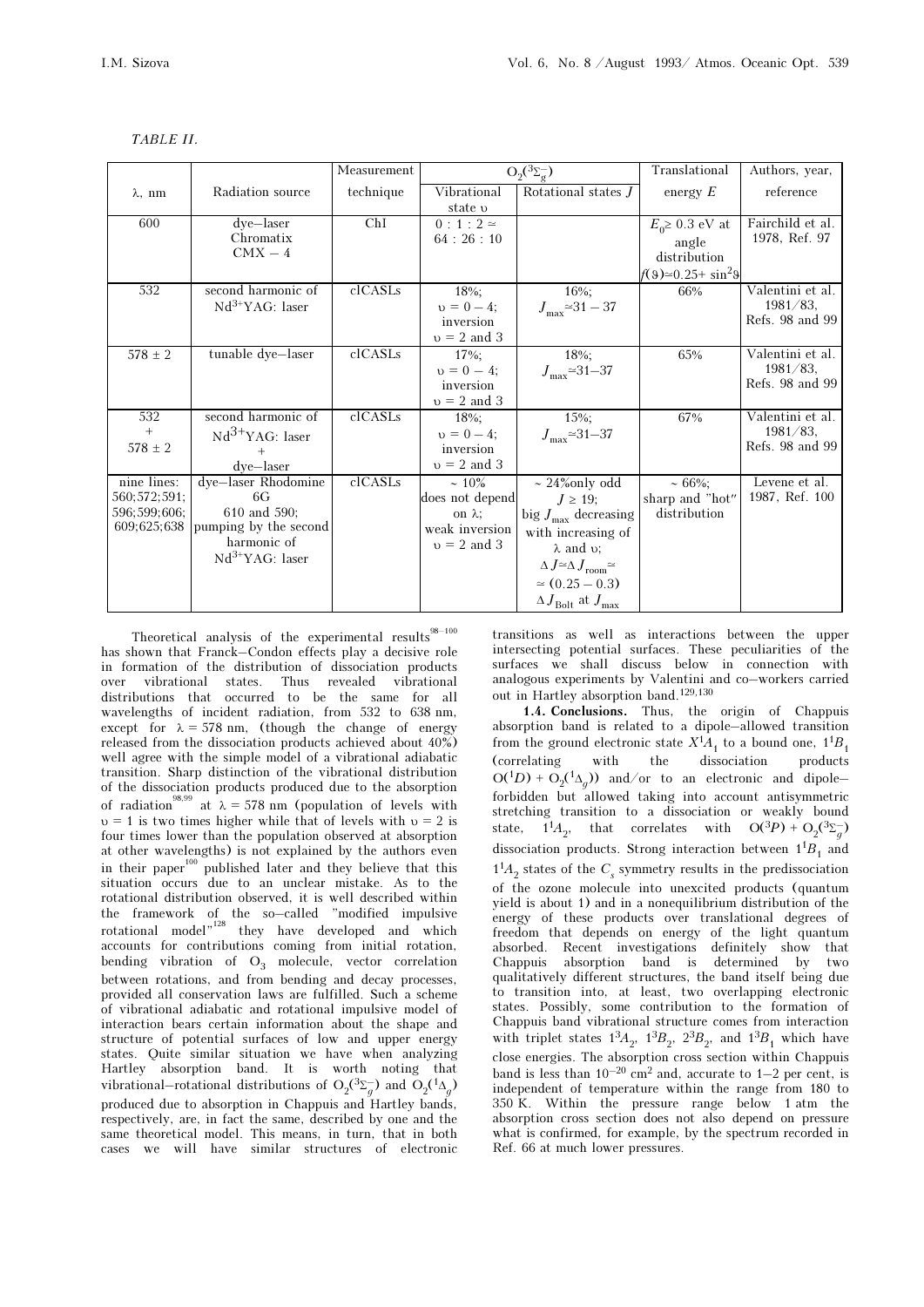|                |                       | Measurement | $O_2({}^3\Sigma_\sigma^-)$ |                                                     | Translational                  | Authors, year,                  |
|----------------|-----------------------|-------------|----------------------------|-----------------------------------------------------|--------------------------------|---------------------------------|
| $\lambda$ , nm | Radiation source      | technique   | Vibrational                | Rotational states J                                 | energy $E$                     | reference                       |
|                |                       |             | state v                    |                                                     |                                |                                 |
| 600            | dye-laser             | ChI         | $0:1:2$ $\simeq$           |                                                     | $E_0 \geq 0.3$ eV at           | Fairchild et al.                |
|                | Chromatix             |             | 64:26:10                   |                                                     | angle                          | 1978, Ref. 97                   |
|                | $CMX - 4$             |             |                            |                                                     | distribution                   |                                 |
|                |                       |             |                            |                                                     | $f(9) \approx 0.25 + \sin^2 9$ |                                 |
| 532            | second harmonic of    | clCASLs     | 18%;                       | $16\%$ ;                                            | 66%                            | Valentini et al.                |
|                | $Nd^{3+}YAG$ : laser  |             | $v = 0 - 4$                | $J_{\text{max}} \approx 31 - 37$                    |                                | $1981/83$ ,                     |
|                |                       |             | inversion                  |                                                     |                                | Refs. 98 and 99                 |
|                |                       |             | $v = 2$ and 3              |                                                     |                                |                                 |
| $578 \pm 2$    | tunable dye-laser     | clCASLs     | 17%;                       | 18%;                                                | 65%                            | Valentini et al.<br>$1981/83$ , |
|                |                       |             | $v = 0 - 4$<br>inversion   | $J_{\text{max}} \approx 31 - 37$                    |                                | Refs. 98 and 99                 |
|                |                       |             | $v = 2$ and 3              |                                                     |                                |                                 |
| 532            | second harmonic of    | clCASLs     | 18%;                       | $15\%;$                                             | 67%                            | Valentini et al.                |
| $+$            | $Nd3+YAG$ : laser     |             | $v = 0 - 4$                | $J_{\text{max}} \approx 31 - 37$                    |                                | $1981/83$ ,                     |
| $578 \pm 2$    |                       |             | inversion                  |                                                     |                                | Refs. 98 and 99                 |
|                | dye-laser             |             | $v = 2$ and 3              |                                                     |                                |                                 |
| nine lines:    | dye-laser Rhodomine   | clCASLs     | $~10\%$                    | $\sim$ 24% only odd                                 | $~1.66\%;$                     | Levene et al.                   |
| 560;572;591;   | 6G                    |             | does not depend            | $J \geq 19$ ;                                       | sharp and "hot"                | 1987, Ref. 100                  |
| 596;599;606;   | 610 and 590;          |             | on $\lambda$ :             | big $J_{\text{max}}$ decreasing                     | distribution                   |                                 |
| 609;625;638    | pumping by the second |             | weak inversion             | with increasing of                                  |                                |                                 |
|                | harmonic of           |             | $v = 2$ and 3              | $\lambda$ and $\upsilon$ ;                          |                                |                                 |
|                | $Nd^{3+}YAG$ : laser  |             |                            | $\Delta J \simeq \Delta J$ <sub>room</sub> $\simeq$ |                                |                                 |
|                |                       |             |                            | $\simeq$ (0.25 - 0.3)                               |                                |                                 |
|                |                       |             |                            | $\Delta\,J_{\rm Bolt}$ at $J_{\rm max}$             |                                |                                 |

Theoretical analysis of the experimental results has shown that Franck–Condon effects play a decisive role in formation of the distribution of dissociation products over vibrational states. Thus revealed vibrational distributions that occurred to be the same for all wavelengths of incident radiation, from 532 to 638 nm, except for  $\lambda = 578$  nm, (though the change of energy released from the dissociation products achieved about 40%) well agree with the simple model of a vibrational adiabatic transition. Sharp distinction of the vibrational distribution of the dissociation products produced due to the absorption of radiation<sup>98,99</sup> at  $\lambda = 578$  nm (population of levels with  $v = 1$  is two times higher while that of levels with  $v = 2$  is four times lower than the population observed at absorption at other wavelengths) is not explained by the authors even in their paper<sup>100</sup> published later and they believe that this situation occurs due to an unclear mistake. As to the rotational distribution observed, it is well described within the framework of the so–called "modified impulsive<br>rotational model" they have developed and which accounts for contributions coming from initial rotation, bending vibration of  $O_3$  molecule, vector correlation<br>between potations and from banding and deepy presences between rotations, and from bending and decay processes, provided all conservation laws are fulfilled. Such a scheme of vibrational adiabatic and rotational impulsive model of interaction bears certain information about the shape and structure of potential surfaces of low and upper energy states. Quite similar situation we have when analyzing Hartley absorption band. It is worth noting that vibrational–rotational distributions of  $O_2(^{3}\Sigma_g^-)$  and  $O_2(^{1}\Delta_g)$ produced due to absorption in Chappuis and Hartley bands, respectively, are, in fact the same, described by one and the same theoretical model. This means, in turn, that in both cases we will have similar structures of electronic

transitions as well as interactions between the upper intersecting potential surfaces. These peculiarities of the surfaces we shall discuss below in connection with analogous experiments by Valentini and co–workers carried out in Hartley absorption band. $^{129,130}\,$ 

1.4. Conclusions. Thus, the origin of Chappuis absorption band is related to a dipole–allowed transition from the ground electronic state  $X^1A_1$  to a bound one,  $1^1B_1$ <br>(correlating with the dissociation products the dissociation  $O(1D) + O_2(1\Delta_g)$  and/or to an electronic and dipole-<br>forbidden by allowed taking into account optimum strict forbidden but allowed taking into account antisymmetric stretching transition to a dissociation or weakly bound state,  $1^1A_2$ , that correlates with  $O(^3P) + O_2(^3\Sigma_g)$ dissociation products. Strong interaction between  $1^{1}B_{1}$  and  $1<sup>1</sup>A<sub>2</sub>$  states of the  $C<sub>s</sub>$  symmetry results in the predissociation of the ozone molecule into unexcited products (quantum yield is about 1) and in a nonequilibrium distribution of the energy of these products over translational degrees of freedom that depends on energy of the light quantum absorbed. Recent investigations definitely show that Chappuis absorption band is determined by two qualitatively different structures, the band itself being due to transition into, at least, two overlapping electronic states. Possibly, some contribution to the formation of Chappuis band vibrational structure comes from interaction with triplet states  $1^3A_2$ ,  $1^3B_2$ ,  $2^3B_2$ , and  $1^3B_1$  which have close energies. The absorption cross section within Chappuis band is less than  $10^{-20}$  cm<sup>2</sup> and, accurate to 1–2 per cent, is independent of temperature within the range from 180 to 350 K. Within the pressure range below 1 atm the absorption cross section does not also depend on pressure what is confirmed, for example, by the spectrum recorded in Ref. 66 at much lower pressures.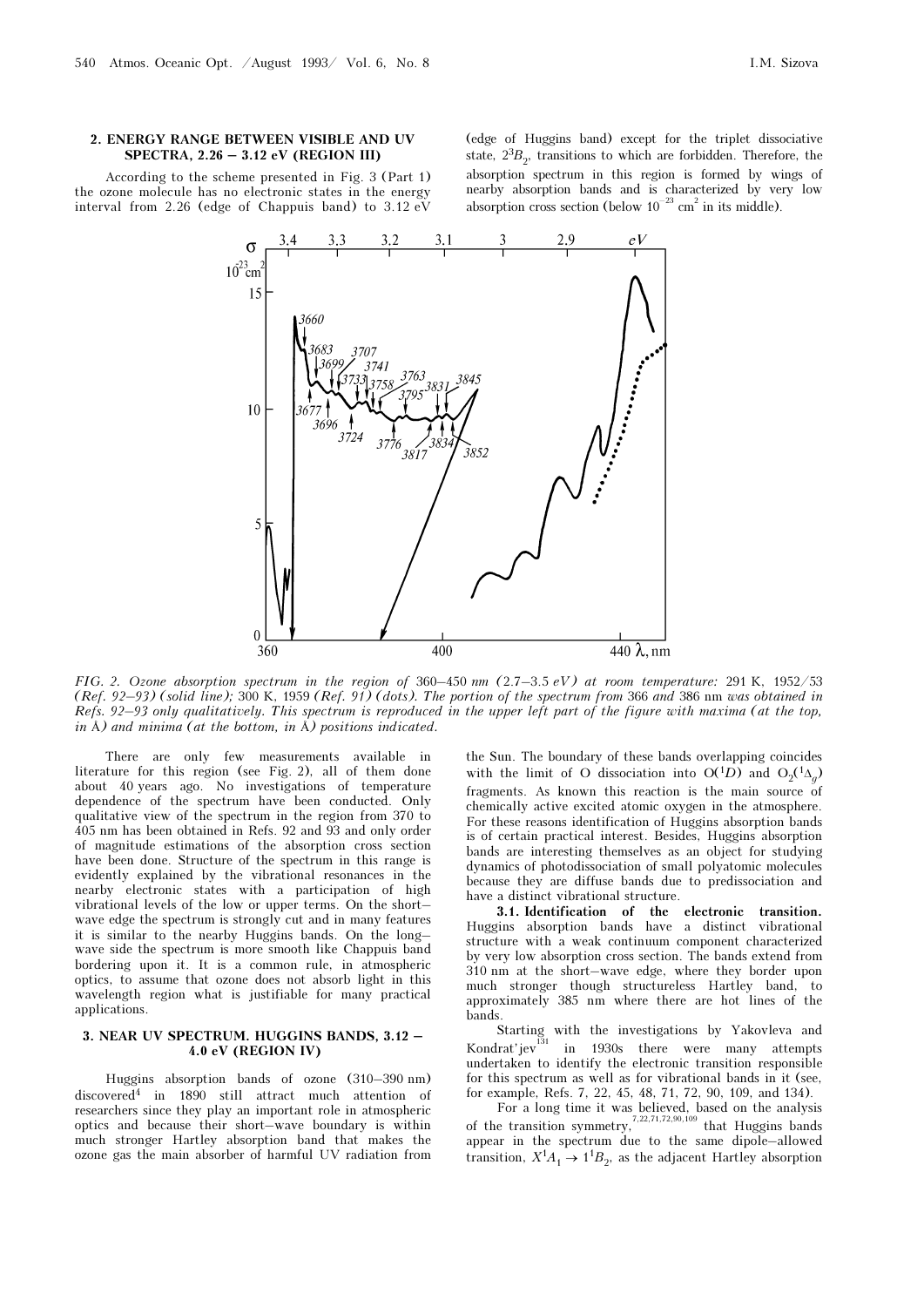#### 2. ENERGY RANGE BETWEEN VISIBLE AND UV SPECTRA, 2.26 – 3.12 eV (REGION III)

According to the scheme presented in Fig. 3 (Part 1) the ozone molecule has no electronic states in the energy interval from 2.26 (edge of Chappuis band) to 3.12 eV

(edge of Huggins band) except for the triplet dissociative state,  $2^{3}B_{2}$ , transitions to which are forbidden. Therefore, the absorption spectrum in this region is formed by wings of nearby absorption bands and is characterized by very low absorption cross section (below  $10^{-23}$  cm<sup>2</sup> in its middle).



FIG. 2. Ozone absorption spectrum in the region of 360–450 nm (2.7–3.5 eV) at room temperature: 291 K, 1952/53 (Ref. 92–93) (solid line); 300 K, 1959 (Ref. 91) (dots). The portion of the spectrum from 366 and 386 nm was obtained in Refs. 92–93 only qualitatively. This spectrum is reproduced in the upper left part of the figure with maxima (at the top, in Å) and minima (at the bottom, in Å) positions indicated.

There are only few measurements available in literature for this region (see Fig. 2), all of them done about 40 years ago. No investigations of temperature dependence of the spectrum have been conducted. Only qualitative view of the spectrum in the region from 370 to 405 nm has been obtained in Refs. 92 and 93 and only order of magnitude estimations of the absorption cross section have been done. Structure of the spectrum in this range is evidently explained by the vibrational resonances in the nearby electronic states with a participation of high vibrational levels of the low or upper terms. On the short– wave edge the spectrum is strongly cut and in many features it is similar to the nearby Huggins bands. On the long– wave side the spectrum is more smooth like Chappuis band bordering upon it. It is a common rule, in atmospheric optics, to assume that ozone does not absorb light in this wavelength region what is justifiable for many practical applications.

#### 3. NEAR UV SPECTRUM. HUGGINS BANDS, 3.12 – 4.0 eV (REGION IV)

Huggins absorption bands of ozone (310–390 nm) discovered4 in 1890 still attract much attention of researchers since they play an important role in atmospheric optics and because their short–wave boundary is within much stronger Hartley absorption band that makes the ozone gas the main absorber of harmful UV radiation from

the Sun. The boundary of these bands overlapping coincides with the limit of O dissociation into  $O(1D)$  and  $O_2(1\Delta_g)$ <br>frequencies  $\Delta g$  known this reaction is the main course of fragments. As known this reaction is the main source of chemically active excited atomic oxygen in the atmosphere. For these reasons identification of Huggins absorption bands is of certain practical interest. Besides, Huggins absorption bands are interesting themselves as an object for studying dynamics of photodissociation of small polyatomic molecules because they are diffuse bands due to predissociation and have a distinct vibrational structure.

3.1. Identification of the electronic transition. Huggins absorption bands have a distinct vibrational structure with a weak continuum component characterized by very low absorption cross section. The bands extend from 310 nm at the short–wave edge, where they border upon much stronger though structureless Hartley band, to approximately 385 nm where there are hot lines of the bands.

Starting with the investigations by Yakovleva and Kondrat'jev<sup>131</sup> in 1930s there were many attempts undertaken to identify the electronic transition responsible for this spectrum as well as for vibrational bands in it (see, for example, Refs. 7, 22, 45, 48, 71, 72, 90, 109, and 134).

For a long time it was believed, based on the analysis of the transition symmetry,<sup>7,22,71,72,90,109</sup> that Huggins bands appear in the spectrum due to the same dipole–allowed transition,  $X^1A_1 \rightarrow 1^1B_2$ , as the adjacent Hartley absorption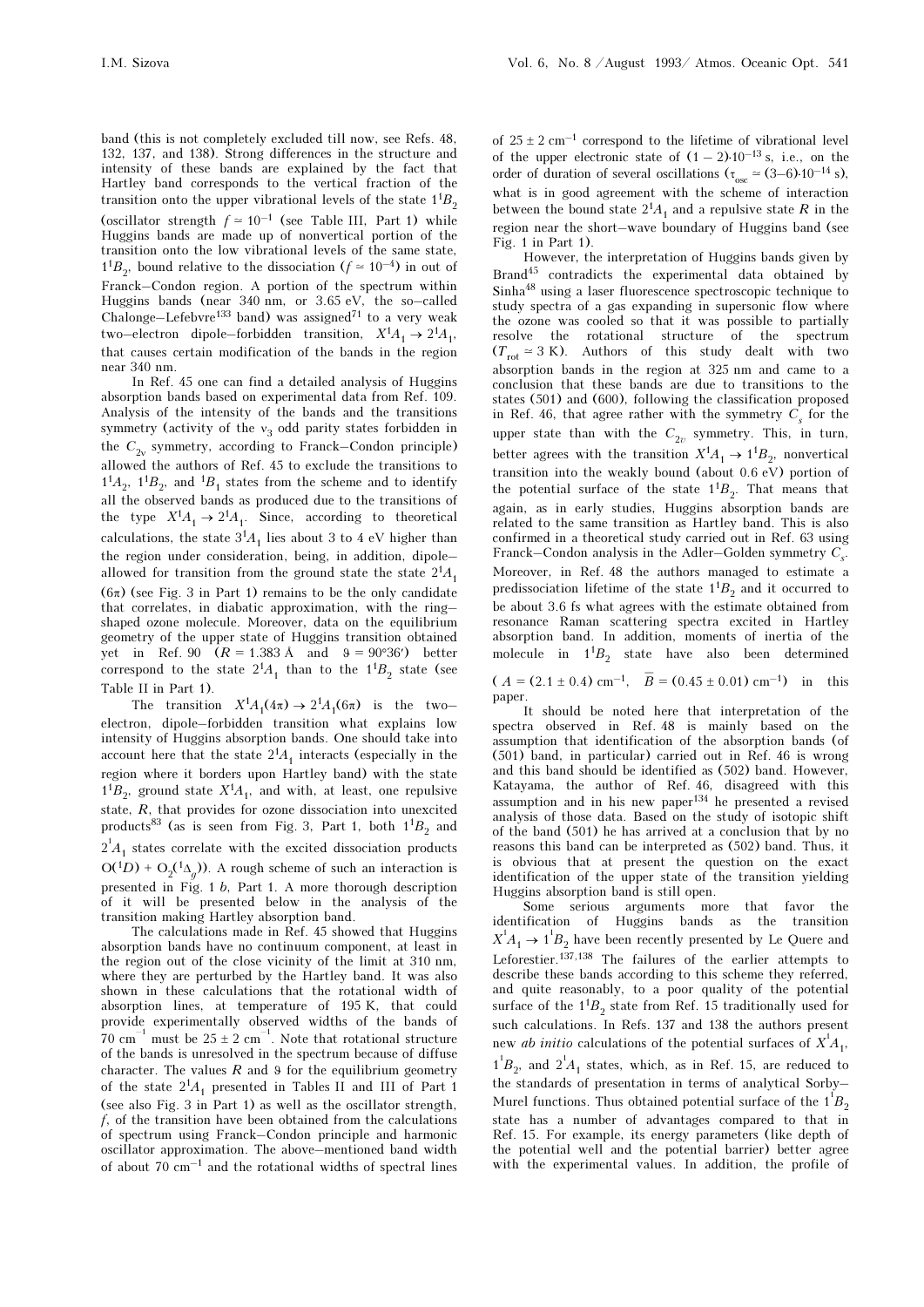band (this is not completely excluded till now, see Refs. 48, 132, 137, and 138). Strong differences in the structure and intensity of these bands are explained by the fact that Hartley band corresponds to the vertical fraction of the transition onto the upper vibrational levels of the state  $1^1B_2$ (oscillator strength  $f \approx 10^{-1}$  (see Table III, Part 1) while Huggins bands are made up of nonvertical portion of the transition onto the low vibrational levels of the same state,  $1<sup>1</sup>B<sub>2</sub>$ , bound relative to the dissociation  $(f \approx 10^{-4})$  in out of Franck–Condon region. A portion of the spectrum within Huggins bands (near 340 nm, or 3.65 eV, the so–called Chalonge–Lefebvre<sup>133</sup> band) was assigned<sup>71</sup> to a very weak two–electron dipole–forbidden transition,  $X^1A_1 \rightarrow 2^1A_1$ , that causes certain modification of the bands in the region near 340 nm.

In Ref. 45 one can find a detailed analysis of Huggins absorption bands based on experimental data from Ref. 109. Analysis of the intensity of the bands and the transitions symmetry (activity of the  $v_3$  odd parity states forbidden in the  $C_1$  expression according to Example Condan principle) the  $C_{2v}$  symmetry, according to Franck–Condon principle)<br>allowed the outbox of Bof. 45 to evolude the transitions to allowed the authors of Ref. 45 to exclude the transitions to  $1<sup>1</sup>A<sub>2</sub>$ ,  $1<sup>1</sup>B<sub>2</sub>$ , and  $1<sup>1</sup>B<sub>1</sub>$  states from the scheme and to identify all the observed bands as produced due to the transitions of the type  $X^1A_1 \rightarrow 2^1A_1$ . Since, according to theoretical calculations, the state  $3<sup>1</sup>A<sub>1</sub>$  lies about 3 to 4 eV higher than the region under consideration, being, in addition, dipole– allowed for transition from the ground state the state  $2^{1}A_1$  $(6\pi)$  (see Fig. 3 in Part 1) remains to be the only candidate that correlates, in diabatic approximation, with the ring– shaped ozone molecule. Moreover, data on the equilibrium geometry of the upper state of Huggins transition obtained yet in Ref. 90  $(R = 1.383 \text{ Å} \text{ and } \text{ } 9 = 90^{\circ}36')$  better correspond to the state  $2^{1}A_{1}$  than to the  $1^{1}B_{2}$  state (see Table II in Part 1).

The transition  $X^1A_1(4\pi) \rightarrow 2^1A_1(6\pi)$  is the two– electron, dipole–forbidden transition what explains low intensity of Huggins absorption bands. One should take into account here that the state  $2^{1}A_{1}$  interacts (especially in the region where it borders upon Hartley band) with the state  $1<sup>1</sup>B<sub>2</sub>$ , ground state  $X<sup>1</sup>A<sub>1</sub>$ , and with, at least, one repulsive state,  $R$ , that provides for ozone dissociation into unexcited products<sup>83</sup> (as is seen from Fig. 3, Part 1, both  $1^{1}B_{2}$  and  $2^{1}A_{1}$  states correlate with the excited dissociation products  $O(1D) + O_2(1\Delta_g)$ . A rough scheme of such an interaction is presented in Fig. 1 b, Part 1. A more thorough description of it will be presented below in the analysis of the transition making Hartley absorption band.

The calculations made in Ref. 45 showed that Huggins absorption bands have no continuum component, at least in the region out of the close vicinity of the limit at 310 nm, where they are perturbed by the Hartley band. It was also shown in these calculations that the rotational width of absorption lines, at temperature of 195 K, that could provide experimentally observed widths of the bands of  $70 \text{ cm}^{-1}$  must be  $25 \pm 2 \text{ cm}^{-1}$ . Note that rotational structure of the bands is unresolved in the spectrum because of diffuse character. The values  $R$  and  $\theta$  for the equilibrium geometry of the state  $2^1A_1$  presented in Tables II and III of Part 1 (see also Fig. 3 in Part 1) as well as the oscillator strength, f, of the transition have been obtained from the calculations of spectrum using Franck–Condon principle and harmonic oscillator approximation. The above–mentioned band width of about  $70 \text{ cm}^{-1}$  and the rotational widths of spectral lines

of  $25 \pm 2$  cm<sup>-1</sup> correspond to the lifetime of vibrational level of the upper electronic state of  $(1-2) \cdot 10^{-13}$  s, i.e., on the of the upper electronic state of  $(1-2) \cdot 10^{-13}$  s, i.e., on the order of duration of several oscillations  $(\tau_{osc} \approx (3-6) \cdot 10^{-14}$  s), what is in good agreement with the scheme of interaction between the bound state  $2^{1}A_1$  and a repulsive state R in the region near the short–wave boundary of Huggins band (see Fig. 1 in Part 1).

However, the interpretation of Huggins bands given by Brand45 contradicts the experimental data obtained by Sinha48 using a laser fluorescence spectroscopic technique to study spectra of a gas expanding in supersonic flow where the ozone was cooled so that it was possible to partially resolve the rotational structure of the spectrum  $(T_{\text{rot}} \approx 3 \text{ K})$ . Authors of this study dealt with two observation bands in the region at 225 nm and came to a absorption bands in the region at 325 nm and came to a conclusion that these bands are due to transitions to the states (501) and (600), following the classification proposed in Ref. 46, that agree rather with the symmetry  $C_{\rm s}$  for the upper state than with the  $C_{2v}$  symmetry. This, in turn, better agrees with the transition  $X^1A_1 \rightarrow 1^1B_2$ , nonvertical transition into the weakly bound (about 0.6 eV) portion of the potential surface of the state  $1^1B_2$ . That means that again, as in early studies, Huggins absorption bands are related to the same transition as Hartley band. This is also confirmed in a theoretical study carried out in Ref. 63 using Franck–Condon analysis in the Adler–Golden symmetry  $C_{\rm s}$ . Moreover, in Ref. 48 the authors managed to estimate a predissociation lifetime of the state  $1^{1}B_{2}$  and it occurred to be about 3.6 fs what agrees with the estimate obtained from resonance Raman scattering spectra excited in Hartley absorption band. In addition, moments of inertia of the molecule in  $1^{1}B_{2}$  state have also been determined

 $(A = (2.1 \pm 0.4) \text{ cm}^{-1}, \overline{B} = (0.45 \pm 0.01) \text{ cm}^{-1}) \text{ in this}$ paper.

It should be noted here that interpretation of the spectra observed in Ref. 48 is mainly based on the assumption that identification of the absorption bands (of (501) band, in particular) carried out in Ref. 46 is wrong and this band should be identified as (502) band. However, Katayama, the author of Ref. 46, disagreed with this assumption and in his new paper134 he presented a revised analysis of those data. Based on the study of isotopic shift of the band (501) he has arrived at a conclusion that by no reasons this band can be interpreted as (502) band. Thus, it is obvious that at present the question on the exact identification of the upper state of the transition yielding Huggins absorption band is still open.

Some serious arguments more that favor the identification of Huggins bands as the transition  $X^1A_1 \rightarrow 1^1B_2$  have been recently presented by Le Quere and Leforestier.137,138 The failures of the earlier attempts to describe these bands according to this scheme they referred, and quite reasonably, to a poor quality of the potential surface of the  $1^{1}B_{2}$  state from Ref. 15 traditionally used for such calculations. In Refs. 137 and 138 the authors present new *ab initio* calculations of the potential surfaces of  $X^1A_1$ ,  $1^{1}B_{2}$ , and  $2^{1}A_{1}$  states, which, as in Ref. 15, are reduced to the standards of presentation in terms of applytical Sorby the standards of presentation in terms of analytical Sorby– Murel functions. Thus obtained potential surface of the  $1^{\dagger}B$ state has a number of advantages compared to that in Ref. 15. For example, its energy parameters (like depth of the potential well and the potential barrier) better agree with the experimental values. In addition, the profile of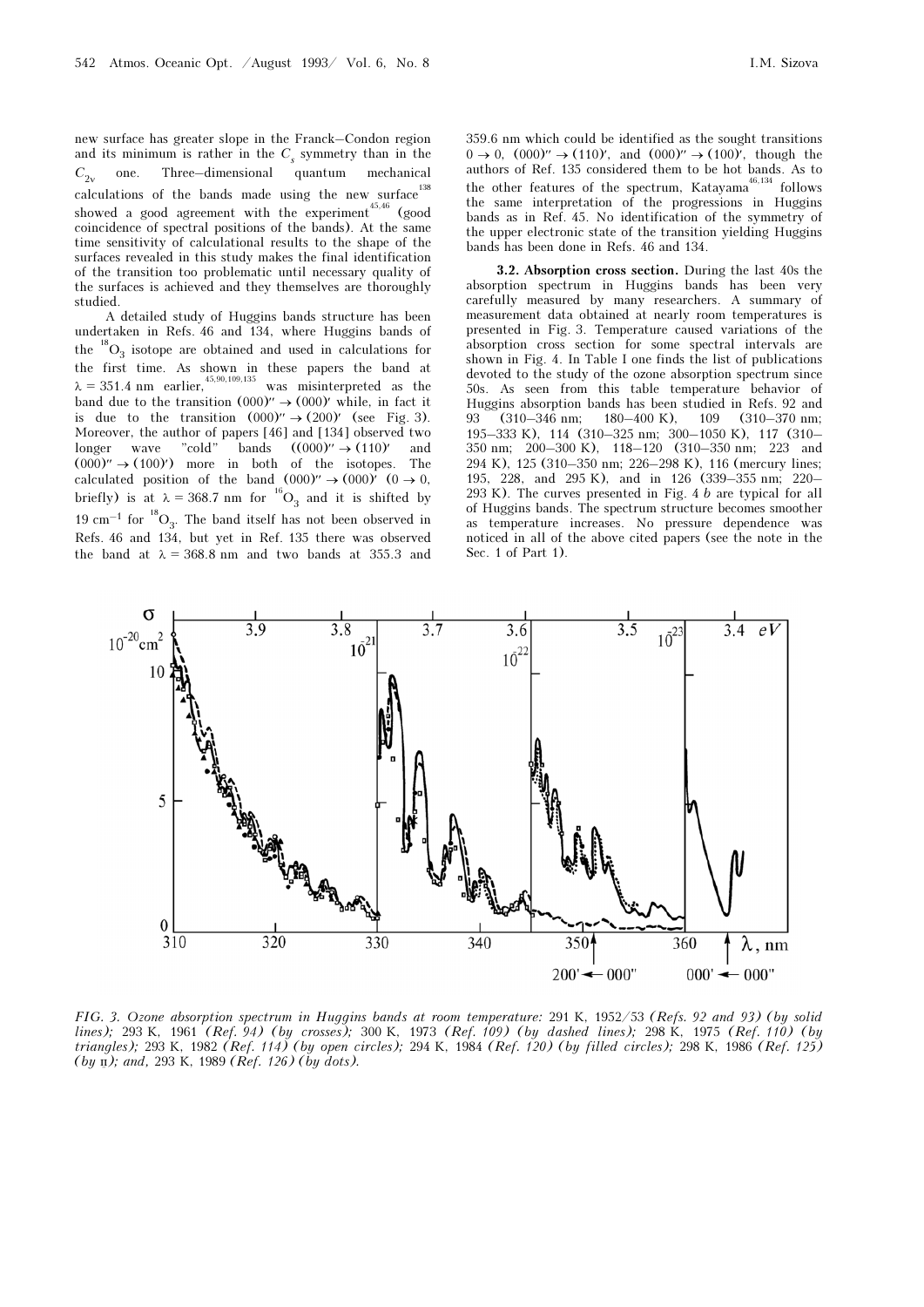new surface has greater slope in the Franck–Condon region and its minimum is rather in the  $C_s$  symmetry than in the quantum  $C_{2v}$  $C_{2v}$  one. Three-dimensional quantum mechanical calculations of the bands made using the new surface<sup>138</sup> showed a good agreement with the experiment<sup>45,46</sup> (good coincidence of spectral positions of the bands). At the same time sensitivity of calculational results to the shape of the surfaces revealed in this study makes the final identification of the transition too problematic until necessary quality of the surfaces is achieved and they themselves are thoroughly studied.

A detailed study of Huggins bands structure has been undertaken in Refs. 46 and 134, where Huggins bands of the  ${}^{18}O_2$  isotope are obtained and used in calculations for the  $\text{O}_3$  isotope are obtained and used in calculations for the first time. As shown in these papers the band at  $\lambda = 351.4$  nm earlier,<sup>45,90,109,135</sup> was misinterpreted as the band due to the transition  $(000)' \rightarrow (000)'$  while, in fact it is due to the transition  $(000)'' \rightarrow (200)'$  (see Fig. 3). Moreover, the author of papers [46] and [134] observed two longer wave "cold" bands  $((000)'' \rightarrow (110)''$  and  $(000)' \rightarrow (100)'$  more in both of the isotopes. The calculated position of the band  $(000)' \rightarrow (000)'$  (0  $\rightarrow$  0, briefly) is at  $\lambda = 368.7$  nm for  $^{16}O_3$  and it is shifted by 19 cm<sup>-1</sup> for  ${}^{18}O_3$ . The band itself has not been observed in Refs. 46 and 134, but yet in Ref. 135 there was observed the band at  $\lambda = 368.8$  nm and two bands at 355.3 and

359.6 nm which could be identified as the sought transitions  $0 \to 0$ ,  $(000)'' \to (110)'$ , and  $(000)'' \to (100)'$ , though the authors of Ref. 135 considered them to be hot bands. As to the other features of the spectrum, Katayama<sup>46,134</sup> follows the same interpretation of the progressions in Huggins bands as in Ref. 45. No identification of the symmetry of the upper electronic state of the transition yielding Huggins bands has been done in Refs. 46 and 134.

3.2. Absorption cross section. During the last 40s the absorption spectrum in Huggins bands has been very carefully measured by many researchers. A summary of measurement data obtained at nearly room temperatures is presented in Fig. 3. Temperature caused variations of the absorption cross section for some spectral intervals are shown in Fig. 4. In Table I one finds the list of publications devoted to the study of the ozone absorption spectrum since 50s. As seen from this table temperature behavior of Huggins absorption bands has been studied in Refs. 92 and<br>93 (310–346 nm: 180–400 K). 109 (310–370 nm: 93 (310–346 nm; 180–400 K), 109 (310–370 nm; 195–333 K), 114 (310–325 nm; 300–1050 K), 117 (310– 350 nm; 200–300 K), 118–120 (310–350 nm; 223 and 294 K), 125 (310–350 nm; 226–298 K), 116 (mercury lines; 195, 228, and 295 K), and in 126 (339–355 nm; 220– 293 K). The curves presented in Fig. 4 b are typical for all of Huggins bands. The spectrum structure becomes smoother as temperature increases. No pressure dependence was noticed in all of the above cited papers (see the note in the Sec. 1 of Part 1).



FIG. 3. Ozone absorption spectrum in Huggins bands at room temperature: 291 K, 1952/53 (Refs. 92 and 93) (by solid lines); 293 K, 1961 (Ref. 94) (by crosses); 300 K, 1973 (Ref. 109) (by dashed lines); 298 K, 1975 (Ref. 110) (by triangles); 293 K, 1982 (Ref. 114) (by open circles); 294 K, 1984 (Ref. 120) (by filled circles); 298 K, 1986 (Ref. 125)  $(by \nightharpoonup p);$  and, 293 K, 1989 (Ref. 126) (by dots).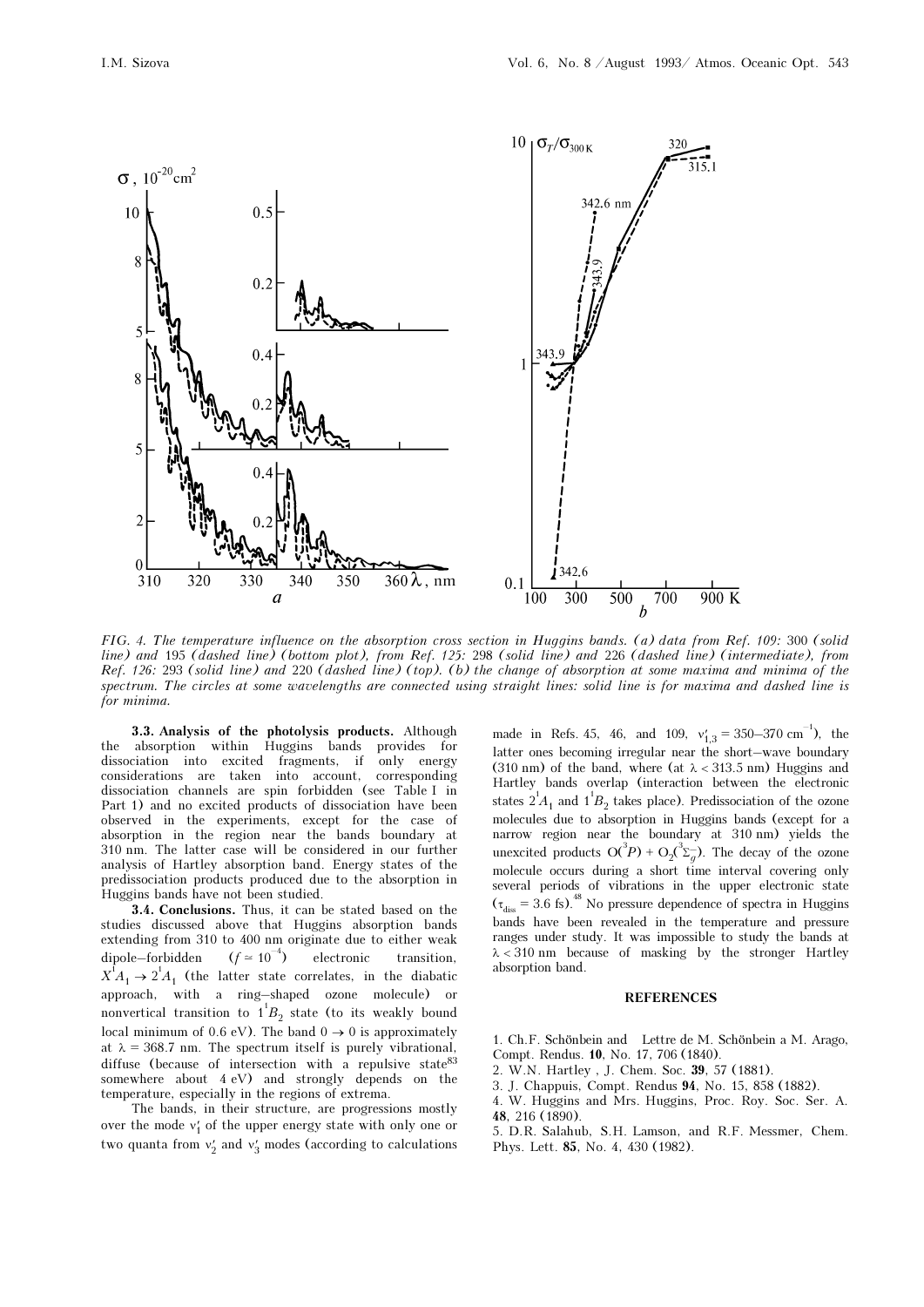

FIG. 4. The temperature influence on the absorption cross section in Huggins bands. (a) data from Ref. 109: 300 (solid line) and 195 (dashed line) (bottom plot), from Ref. 125: 298 (solid line) and 226 (dashed line) (intermediate), from Ref. 126: 293 (solid line) and 220 (dashed line) (top). (b) the change of absorption at some maxima and minima of the spectrum. The circles at some wavelengths are connected using straight lines: solid line is for maxima and dashed line is for minima.

3.3. Analysis of the photolysis products. Although the absorption within Huggins bands provides for dissociation into excited fragments, if only energy considerations are taken into account, corresponding dissociation channels are spin forbidden (see Table I in Part 1) and no excited products of dissociation have been observed in the experiments, except for the case of absorption in the region near the bands boundary at 310 nm. The latter case will be considered in our further analysis of Hartley absorption band. Energy states of the predissociation products produced due to the absorption in Huggins bands have not been studied.

3.4. Conclusions. Thus, it can be stated based on the studies discussed above that Huggins absorption bands extending from 310 to 400 nm originate due to either weak dipole–forbidden ( $f \approx 10^{-4}$ ) electronic transition,<br>  $X^{1}A_{1} \rightarrow 2^{1}A_{1}$  (the latter state correlates, in the diabatic approach, with a ring–shaped ozone molecule) or nonvertical transition to  $1^1B_2$  state (to its weakly bound<br>lead minimum of 0.6 sV). The hard 0, 0.0 is approximately local minimum of 0.6 eV). The band  $0 \rightarrow 0$  is approximately at  $\lambda = 368.7$  nm. The spectrum itself is purely vibrational, diffuse (because of intersection with a repulsive state  $83$ somewhere about 4 eV) and strongly depends on the temperature, especially in the regions of extrema.

The bands, in their structure, are progressions mostly over the mode  $v'_1$  of the upper energy state with only one or<br>two speaks faces that it we design that is solved that two quanta from  $v'_2$  and  $v'_3$  modes (according to calculations

made in Refs. 45, 46, and 109,  $v'_{1,3} = 350-370 \text{ cm}^{-1}$ , the letter and becoming imaging near the chert, were boundary latter ones becoming irregular near the short–wave boundary (310 nm) of the band, where (at  $\lambda$  < 313.5 nm) Huggins and Hartley bands overlap (interaction between the electronic states  $2^1A_1$  and  $1^1B_2$  takes place). Predissociation of the ozone<br>malagular due to absorption in Hugging bands (queent for a molecules due to absorption in Huggins bands (except for a narrow region near the boundary at 310 nm) yields the unexcited products  $O(^3P) + O_2(^3\Sigma_g)$ . The decay of the ozone<br>malagula against during a short time integral agreeing only molecule occurs during a short time interval covering only several periods of vibrations in the upper electronic state  $(\tau_{diss} = 3.6 \text{ fs})^{48}$  No pressure dependence of spectra in Huggins bands have been revealed in the temperature and pressure ranges under study. It was impossible to study the bands at  $\lambda$  < 310 nm because of masking by the stronger Hartley absorption band.

#### **REFERENCES**

1. Ch.F. Schönbein and Lettre de M. Schönbein a M. Arago, Compt. Rendus. 10, No. 17, 706 (1840).

- 2. W.N. Hartley , J. Chem. Soc. 39, 57 (1881).
- 3. J. Chappuis, Compt. Rendus 94, No. 15, 858 (1882).

4. W. Huggins and Mrs. Huggins, Proc. Roy. Soc. Ser. A. 48, 216 (1890).

5. D.R. Salahub, S.H. Lamson, and R.F. Messmer, Chem. Phys. Lett. 85, No. 4, 430 (1982).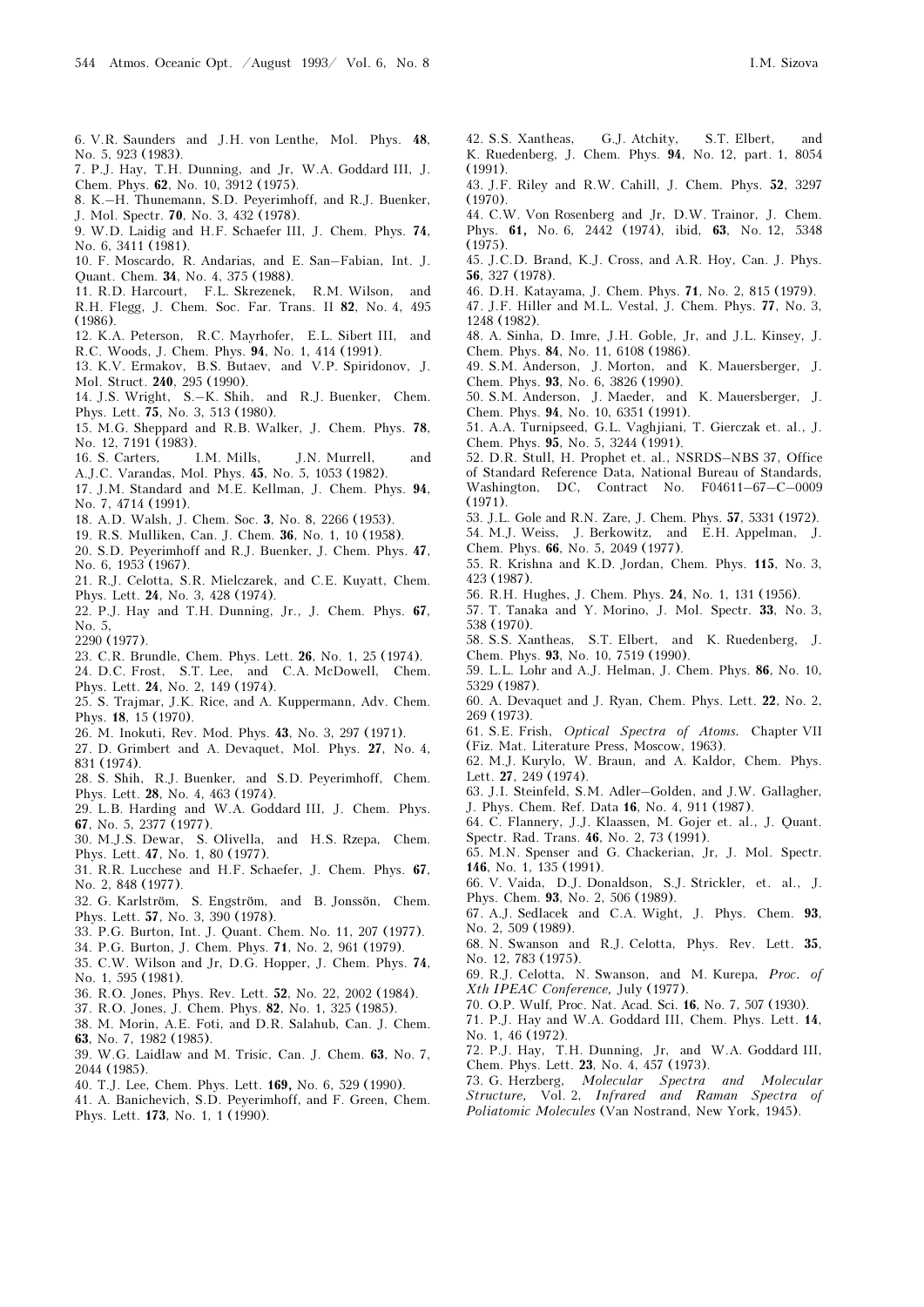- 6. V.R. Saunders and J.H. von Lenthe, Mol. Phys. 48, No. 5, 923 (1983).
- 7. P.J. Hay, T.H. Dunning, and Jr, W.A. Goddard III, J. Chem. Phys. 62, No. 10, 3912 (1975).
- 8. K.–H. Thunemann, S.D. Peyerimhoff, and R.J. Buenker, J. Mol. Spectr. 70, No. 3, 432 (1978).
- 9. W.D. Laidig and H.F. Schaefer III, J. Chem. Phys. 74, No. 6, 3411 (1981).
- 10. F. Moscardo, R. Andarias, and E. San–Fabian, Int. J. Quant. Chem. 34, No. 4, 375 (1988).
- 11. R.D. Harcourt, F.L. Skrezenek, R.M. Wilson, and R.H. Flegg, J. Chem. Soc. Far. Trans. II 82, No. 4, 495 (1986).
- 12. K.A. Peterson, R.C. Mayrhofer, E.L. Sibert III, and
- R.C. Woods, J. Chem. Phys. 94, No. 1, 414 (1991).
- 13. K.V. Ermakov, B.S. Butaev, and V.P. Spiridonov, J. Mol. Struct. 240, 295 (1990).
- 14. J.S. Wright, S.–K. Shih, and R.J. Buenker, Chem. Phys. Lett. 75, No. 3, 513 (1980).
- 15. M.G. Sheppard and R.B. Walker, J. Chem. Phys. 78, No. 12, 7191 (1983).
- 16. S. Carters, I.M. Mills, J.N. Murrell, and
- A.J.C. Varandas, Mol. Phys. 45, No. 5, 1053 (1982).
- 17. J.M. Standard and M.E. Kellman, J. Chem. Phys. 94, No. 7, 4714 (1991).
- 18. A.D. Walsh, J. Chem. Soc. 3, No. 8, 2266 (1953).
- 19. R.S. Mulliken, Can. J. Chem. 36, No. 1, 10 (1958).
- 20. S.D. Peyerimhoff and R.J. Buenker, J. Chem. Phys. 47, No. 6, 1953 (1967).
- 21. R.J. Celotta, S.R. Mielczarek, and C.E. Kuyatt, Chem. Phys. Lett. 24, No. 3, 428 (1974).
- 22. P.J. Hay and T.H. Dunning, Jr., J. Chem. Phys. 67, No. 5,
- 2290 (1977).
- 23. C.R. Brundle, Chem. Phys. Lett. 26, No. 1, 25 (1974).
- 24. D.C. Frost, S.T. Lee, and C.A. McDowell, Chem.
- Phys. Lett. 24, No. 2, 149 (1974).
- 25. S. Trajmar, J.K. Rice, and A. Kuppermann, Adv. Chem. Phys. 18, 15 (1970).
- 26. M. Inokuti, Rev. Mod. Phys. 43, No. 3, 297 (1971).
- 27. D. Grimbert and A. Devaquet, Mol. Phys. 27, No. 4, 831 (1974).
- 28. S. Shih, R.J. Buenker, and S.D. Peyerimhoff, Chem. Phys. Lett. 28, No. 4, 463 (1974).
- 29. L.B. Harding and W.A. Goddard III, J. Chem. Phys. 67, No. 5, 2377 (1977).
- 30. M.J.S. Dewar, S. Olivella, and H.S. Rzepa, Chem. Phys. Lett. 47, No. 1, 80 (1977).
- 31. R.R. Lucchese and H.F. Schaefer, J. Chem. Phys. 67, No. 2, 848 (1977).
- 32. G. Karlström, S. Engström, and B. Jonssön, Chem. Phys. Lett. 57, No. 3, 390 (1978).
- 33. P.G. Burton, Int. J. Quant. Chem. No. 11, 207 (1977).
- 34. P.G. Burton, J. Chem. Phys. 71, No. 2, 961 (1979).
- 35. C.W. Wilson and Jr, D.G. Hopper, J. Chem. Phys. 74, No. 1, 595 (1981).
- 36. R.O. Jones, Phys. Rev. Lett. 52, No. 22, 2002 (1984).
- 37. R.O. Jones, J. Chem. Phys. 82, No. 1, 325 (1985).
- 38. M. Morin, A.E. Foti, and D.R. Salahub, Can. J. Chem. 63, No. 7, 1982 (1985).
- 39. W.G. Laidlaw and M. Trisic, Can. J. Chem. 63, No. 7, 2044 (1985).
- 40. T.J. Lee, Chem. Phys. Lett. 169, No. 6, 529 (1990).
- 41. A. Banichevich, S.D. Peyerimhoff, and F. Green, Chem. Phys. Lett. 173, No. 1, 1 (1990).
- 42. S.S. Xantheas, G.J. Atchity, S.T. Elbert, and K. Ruedenberg, J. Chem. Phys. 94, No. 12, part. 1, 8054  $(1991)$
- 43. J.F. Riley and R.W. Cahill, J. Chem. Phys. 52, 3297  $(1970)$
- 44. C.W. Von Rosenberg and Jr, D.W. Trainor, J. Chem. Phys. 61, No. 6, 2442 (1974), ibid, 63, No. 12, 5348  $(1975)$ .
- 45. J.C.D. Brand, K.J. Cross, and A.R. Hoy, Can. J. Phys. 56, 327 (1978).
- 46. D.H. Katayama, J. Chem. Phys. 71, No. 2, 815 (1979).
- 47. J.F. Hiller and M.L. Vestal, J. Chem. Phys. 77, No. 3, 1248 (1982).
- 48. A. Sinha, D. Imre, J.H. Goble, Jr, and J.L. Kinsey, J. Chem. Phys. 84, No. 11, 6108 (1986).
- 49. S.M. Anderson, J. Morton, and K. Mauersberger, J. Chem. Phys. 93, No. 6, 3826 (1990).
- 50. S.M. Anderson, J. Maeder, and K. Mauersberger, J. Chem. Phys. 94, No. 10, 6351 (1991).
- 51. A.A. Turnipseed, G.L. Vaghjiani, T. Gierczak et. al., J. Chem. Phys. 95, No. 5, 3244 (1991).
- 52. D.R. Stull, H. Prophet et. al., NSRDS–NBS 37, Office of Standard Reference Data, National Bureau of Standards, Washington, DC, Contract No. F04611–67–C–0009
- (1971). 53. J.L. Gole and R.N. Zare, J. Chem. Phys. 57, 5331 (1972).
- 54. M.J. Weiss, J. Berkowitz, and E.H. Appelman, J.
- Chem. Phys. 66, No. 5, 2049 (1977).
- 55. R. Krishna and K.D. Jordan, Chem. Phys. 115, No. 3, 423 (1987).
- 56. R.H. Hughes, J. Chem. Phys. 24, No. 1, 131 (1956).
- 57. T. Tanaka and Y. Morino, J. Mol. Spectr. 33, No. 3, 538 (1970).
- 58. S.S. Xantheas, S.T. Elbert, and K. Ruedenberg, J. Chem. Phys. 93, No. 10, 7519 (1990).
- 59. L.L. Lohr and A.J. Helman, J. Chem. Phys. 86, No. 10, 5329 (1987).
- 60. A. Devaquet and J. Ryan, Chem. Phys. Lett. 22, No. 2, 269 (1973).
- 61. S.E. Frish, Optical Spectra of Atoms. Chapter VII (Fiz. Mat. Literature Press, Moscow, 1963).
- 62. M.J. Kurylo, W. Braun, and A. Kaldor, Chem. Phys. Lett. 27, 249 (1974).
- 63. J.I. Steinfeld, S.M. Adler–Golden, and J.W. Gallagher, J. Phys. Chem. Ref. Data 16, No. 4, 911 (1987).
- 64. C. Flannery, J.J. Klaassen, M. Gojer et. al., J. Quant. Spectr. Rad. Trans. 46, No. 2, 73 (1991).
- 65. M.N. Spenser and G. Chackerian, Jr, J. Mol. Spectr. 146, No. 1, 135 (1991).
- 66. V. Vaida, D.J. Donaldson, S.J. Strickler, et. al., J. Phys. Chem. 93, No. 2, 506 (1989).
- 67. A.J. Sedlacek and C.A. Wight, J. Phys. Chem. 93, No. 2, 509 (1989).
- 68. N. Swanson and R.J. Celotta, Phys. Rev. Lett. 35, No. 12, 783 (1975).
- 69. R.J. Celotta, N. Swanson, and M. Kurepa, Proc. of Xth IPEAC Conference, July (1977).
- 70. O.P. Wulf, Proc. Nat. Acad. Sci. 16, No. 7, 507 (1930).
- 71. P.J. Hay and W.A. Goddard III, Chem. Phys. Lett. 14, No. 1, 46 (1972).
- 72. P.J. Hay, T.H. Dunning, Jr, and W.A. Goddard III, Chem. Phys. Lett. 23, No. 4, 457 (1973).
- 73. G. Herzberg, Molecular Spectra and Molecular Structure, Vol. 2, Infrared and Raman Spectra of
- Poliatomic Molecules (Van Nostrand, New York, 1945).